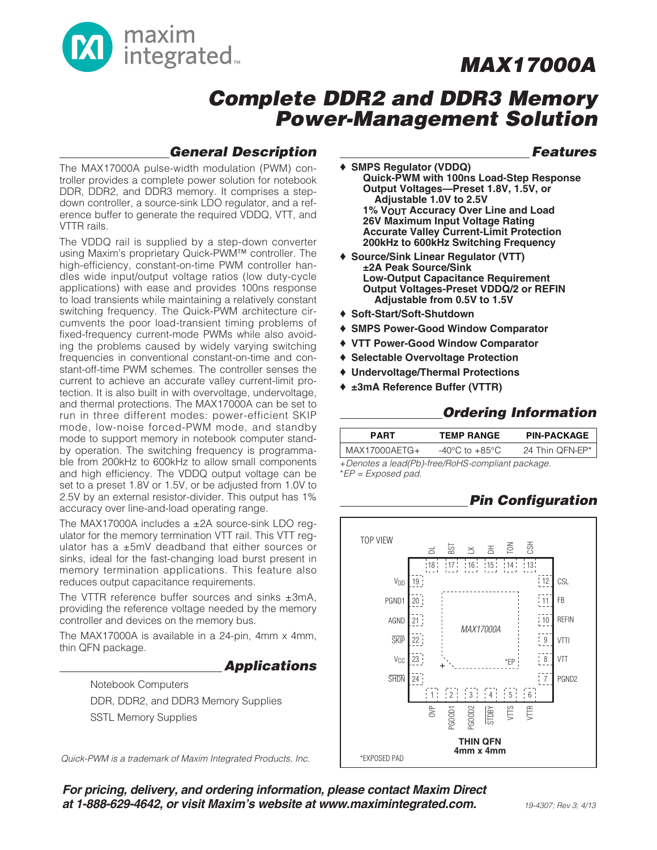

### **Complete DDR2 and DDR3 Memory Power-Management Solution**

### **General Description**

The MAX17000A pulse-width modulation (PWM) controller provides a complete power solution for notebook DDR, DDR2, and DDR3 memory. It comprises a stepdown controller, a source-sink LDO regulator, and a reference buffer to generate the required VDDQ, VTT, and VTTR rails.

The VDDQ rail is supplied by a step-down converter using Maxim's proprietary Quick-PWM™ controller. The high-efficiency, constant-on-time PWM controller handles wide input/output voltage ratios (low duty-cycle applications) with ease and provides 100ns response to load transients while maintaining a relatively constant switching frequency. The Quick-PWM architecture circumvents the poor load-transient timing problems of fixed-frequency current-mode PWMs while also avoiding the problems caused by widely varying switching frequencies in conventional constant-on-time and constant-off-time PWM schemes. The controller senses the current to achieve an accurate valley current-limit protection. It is also built in with overvoltage, undervoltage, and thermal protections. The MAX17000A can be set to run in three different modes: power-efficient SKIP mode, low-noise forced-PWM mode, and standby mode to support memory in notebook computer standby operation. The switching frequency is programmable from 200kHz to 600kHz to allow small components and high efficiency. The VDDQ output voltage can be set to a preset 1.8V or 1.5V, or be adjusted from 1.0V to 2.5V by an external resistor-divider. This output has 1% accuracy over line-and-load operating range.

The MAX17000A includes a ±2A source-sink LDO requlator for the memory termination VTT rail. This VTT regulator has a ±5mV deadband that either sources or sinks, ideal for the fast-changing load burst present in memory termination applications. This feature also reduces output capacitance requirements.

The VTTR reference buffer sources and sinks  $\pm 3$ mA, providing the reference voltage needed by the memory controller and devices on the memory bus.

The MAX17000A is available in a 24-pin, 4mm x 4mm, thin QFN package.

#### **Applications**

Notebook Computers DDR, DDR2, and DDR3 Memory Supplies SSTL Memory Supplies

Quick-PWM is a trademark of Maxim Integrated Products, Inc.

### **Features**

- ♦ **SMPS Regulator (VDDQ) Quick-PWM with 100ns Load-Step Response Output Voltages—Preset 1.8V, 1.5V, or Adjustable 1.0V to 2.5V 1% VOUT Accuracy Over Line and Load 26V Maximum Input Voltage Rating Accurate Valley Current-Limit Protection 200kHz to 600kHz Switching Frequency**
- ♦ **Source/Sink Linear Regulator (VTT) ±2A Peak Source/Sink Low-Output Capacitance Requirement Output Voltages-Preset VDDQ/2 or REFIN Adjustable from 0.5V to 1.5V**
- ♦ **Soft-Start/Soft-Shutdown**
- ♦ **SMPS Power-Good Window Comparator**
- ♦ **VTT Power-Good Window Comparator**
- ♦ **Selectable Overvoltage Protection**
- ♦ **Undervoltage/Thermal Protections**
- ♦ **±3mA Reference Buffer (VTTR)**

### **Ordering Information**

|                                 | <b>PIN-PACKAGE</b><br><b>TEMP RANGE</b> |
|---------------------------------|-----------------------------------------|
| MAX17000AETG+<br>-40°C to +85°C | 24 Thin OFN-EP*                         |

+Denotes a lead(Pb)-free/RoHS-compliant package. \*EP = Exposed pad.

### **Pin Configuration**



**For pricing, delivery, and ordering information, please contact Maxim Direct at 1-888-629-4642, or visit Maxim's website at www.maximintegrated.com.**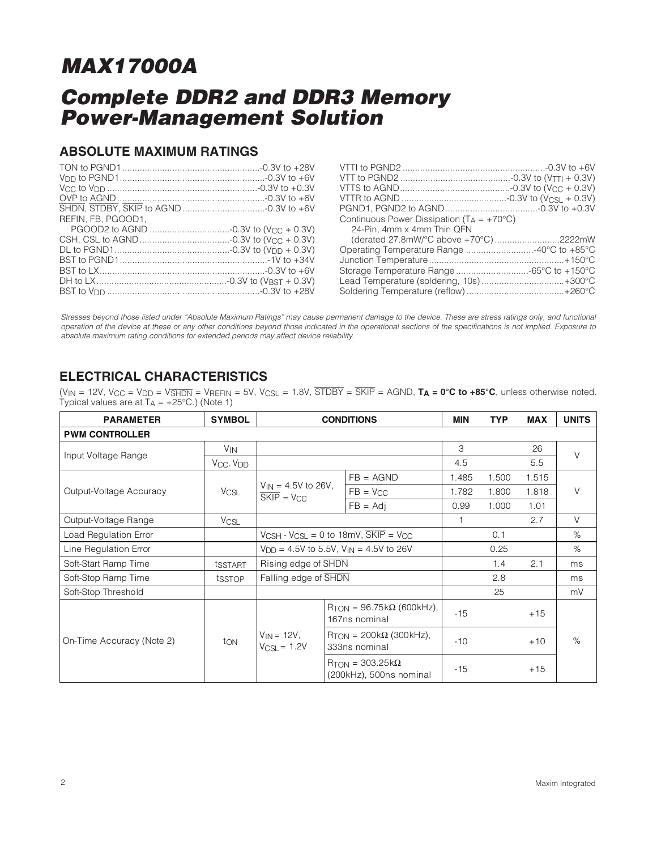## **Complete DDR2 and DDR3 Memory Power-Management Solution**

### **ABSOLUTE MAXIMUM RATINGS**

| REFIN. FB. PGOOD1. | Continuous Power Dissipation $(T_A = +70^{\circ}C)$         |
|--------------------|-------------------------------------------------------------|
|                    | 24-Pin. 4mm x 4mm Thin QFN                                  |
|                    | (derated 27.8mW/ $^{\circ}$ C above +70 $^{\circ}$ C)2222mW |
|                    |                                                             |
|                    |                                                             |
|                    |                                                             |
|                    | Lead Temperature (soldering, 10s)+300°C                     |
|                    |                                                             |

Stresses beyond those listed under "Absolute Maximum Ratings" may cause permanent damage to the device. These are stress ratings only, and functional operation of the device at these or any other conditions beyond those indicated in the operational sections of the specifications is not implied. Exposure to absolute maximum rating conditions for extended periods may affect device reliability.

### **ELECTRICAL CHARACTERISTICS**

 $(V_{IN} = 12V$ ,  $V_{CC} = V_{DD} = V_{\overline{S}H\overline{D}N} = V_{REFIN} = 5V$ ,  $V_{CSL} = 1.8V$ ,  $\overline{ST\overline{D}BY} = \overline{SKIP} = AGND$ ,  $T_A = 0^{\circ}C$  to  $+85^{\circ}C$ , unless otherwise noted. Typical values are at  $T_A = +25^{\circ}C$ .) (Note 1)

| <b>PARAMETER</b>          | <b>SYMBOL</b>                     | <b>CONDITIONS</b>                                                                           |                                                                     | <b>MIN</b>   | <b>TYP</b> | <b>MAX</b> | <b>UNITS</b> |
|---------------------------|-----------------------------------|---------------------------------------------------------------------------------------------|---------------------------------------------------------------------|--------------|------------|------------|--------------|
| <b>PWM CONTROLLER</b>     |                                   |                                                                                             |                                                                     |              |            |            |              |
| Input Voltage Range       | <b>V<sub>IN</sub></b>             |                                                                                             |                                                                     |              |            | 26         | $\vee$       |
|                           | V <sub>CC</sub> , V <sub>DD</sub> |                                                                                             |                                                                     | 4.5          |            | 5.5        |              |
|                           |                                   |                                                                                             | $FB = AGND$                                                         | 1.485        | 1.500      | 1.515      |              |
| Output-Voltage Accuracy   | <b>V<sub>CSL</sub></b>            | $V_{IN} = 4.5V$ to 26V,<br>$SKIP = V_{CC}$                                                  | $FB = V_{CC}$                                                       | 1.782        | 1.800      | 1.818      | $\vee$       |
|                           |                                   |                                                                                             | $FB = Adi$                                                          | 0.99         | 1.000      | 1.01       |              |
| Output-Voltage Range      | <b>V<sub>CSL</sub></b>            |                                                                                             |                                                                     | $\mathbf{1}$ |            | 2.7        | $\vee$       |
| Load Regulation Error     |                                   | $V_{\text{CSH}}$ - $V_{\text{CSL}}$ = 0 to 18mV, $\overline{\text{SKIP}}$ = $V_{\text{CC}}$ |                                                                     |              | 0.1        |            | %            |
| Line Regulation Error     |                                   | $V_{\text{DD}} = 4.5V$ to 5.5V, $V_{\text{IN}} = 4.5V$ to 26V                               |                                                                     |              | 0.25       |            | $\%$         |
| Soft-Start Ramp Time      | tsstart                           | Rising edge of SHDN                                                                         |                                                                     |              | 1.4        | 2.1        | ms           |
| Soft-Stop Ramp Time       | tsstop                            | Falling edge of SHDN                                                                        |                                                                     |              | 2.8        |            | ms           |
| Soft-Stop Threshold       |                                   |                                                                                             |                                                                     |              | 25         |            | mV           |
|                           |                                   |                                                                                             | $R_{TON} = 96.75 k\Omega$ (600kHz),<br>167ns nominal                | $-15$        |            | $+15$      |              |
| On-Time Accuracy (Note 2) | ton                               | $V_{IN}$ = 12V,<br>$V_{CSL} = 1.2V$                                                         | $R_{\text{TON}}$ = 200k $\Omega$ (300kHz),<br>333ns nominal         | $-10$        |            | $+10$      | %            |
|                           |                                   |                                                                                             | $R_{\text{TON}} = 303.25 \text{k}\Omega$<br>(200kHz), 500ns nominal | $-15$        |            | $+15$      |              |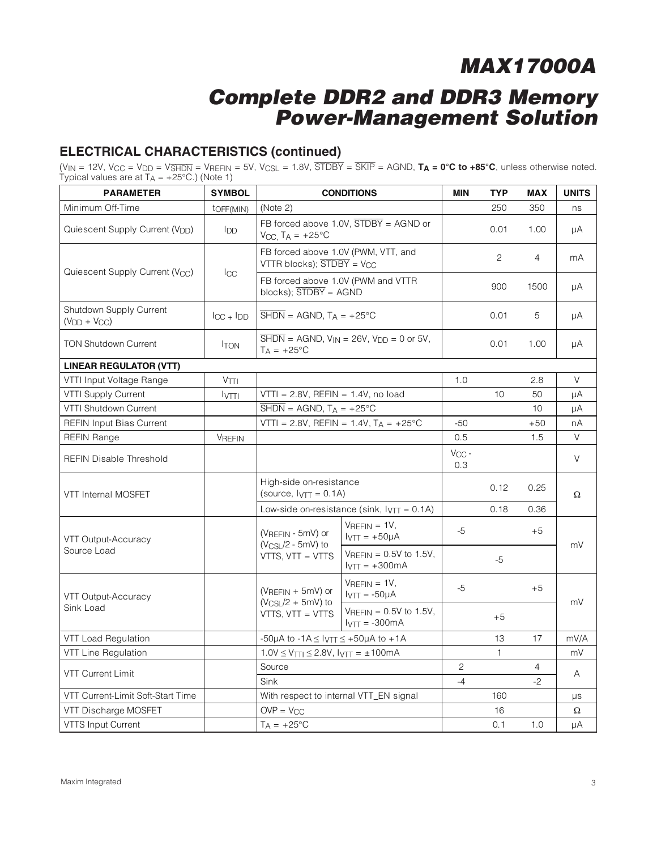### **Complete DDR2 and DDR3 Memory Power-Management Solution**

### **ELECTRICAL CHARACTERISTICS (continued)**

(V<sub>IN</sub> = 12V, V<sub>CC</sub> = V<sub>DD</sub> = V<sub>SHDN</sub> = V<sub>REFIN</sub> = 5V, V<sub>CSL</sub> = 1.8V,  $\overline{STDBY}$  =  $\overline{SKIP}$  = AGND, **T<sub>A</sub> = 0°C to +85°C**, unless otherwise noted. Typical values are at  $T_A = +25^{\circ}C$ .) (Note 1)

| <b>PARAMETER</b>                                | <b>SYMBOL</b>                   |                                                                                                      | <b>CONDITIONS</b>                                                          | <b>MIN</b>        | <b>TYP</b>   | <b>MAX</b>     | <b>UNITS</b> |  |
|-------------------------------------------------|---------------------------------|------------------------------------------------------------------------------------------------------|----------------------------------------------------------------------------|-------------------|--------------|----------------|--------------|--|
| Minimum Off-Time                                | toff(MIN)                       | (Note 2)                                                                                             |                                                                            |                   | 250          | 350            | ns           |  |
| Quiescent Supply Current (V <sub>DD</sub> )     | <b>I</b> DD                     | $V_{CC}$ , $TA = +25^{\circ}C$                                                                       | FB forced above 1.0V, $\overline{STDBY}$ = AGND or                         |                   | 0.01         | 1.00           | μA           |  |
|                                                 |                                 | FB forced above 1.0V (PWM, VTT, and<br>VTTR blocks); $\overline{STDBY}$ = V <sub>CC</sub>            |                                                                            |                   | 2            | $\overline{4}$ | mA           |  |
| Quiescent Supply Current (V <sub>CC</sub> )     | $_{\rm{ICC}}$                   |                                                                                                      | FB forced above 1.0V (PWM and VTTR<br>$blocks);$ $\overline{STDBY} = AGND$ |                   | 900          | 1500           | μA           |  |
| <b>Shutdown Supply Current</b><br>$(VDD + VCC)$ | $\overline{C}C + \overline{D}D$ | $\overline{\text{SHDN}} = \text{AGND}, T_A = +25^{\circ}\text{C}$                                    |                                                                            |                   | 0.01         | 5              | μA           |  |
| <b>TON Shutdown Current</b>                     | <b>ITON</b>                     | $\overline{\text{SHDN}}$ = AGND, $V_{\text{IN}}$ = 26V, $V_{\text{DD}}$ = 0 or 5V,<br>$T_A = +25$ °C |                                                                            |                   | 0.01         | 1.00           | μA           |  |
| <b>LINEAR REGULATOR (VTT)</b>                   |                                 |                                                                                                      |                                                                            |                   |              |                |              |  |
| VTTI Input Voltage Range                        | V <sub>TI</sub>                 |                                                                                                      |                                                                            | 1.0               |              | 2.8            | $\vee$       |  |
| <b>VTTI Supply Current</b>                      | <b>IVTTI</b>                    | $VTTI = 2.8V$ , REFIN = 1.4V, no load                                                                |                                                                            |                   | 10           | 50             | μA           |  |
| VTTI Shutdown Current                           |                                 | $\overline{\text{SHDN}} = \text{AGND}, T_A = +25^{\circ}\text{C}$                                    |                                                                            |                   |              | 10             | μA           |  |
| <b>REFIN Input Bias Current</b>                 |                                 |                                                                                                      | VTTI = $2.8V$ , REFIN = $1.4V$ , T <sub>A</sub> = $+25^{\circ}$ C          | $-50$             |              | $+50$          | nA           |  |
| <b>REFIN Range</b>                              | <b>VREFIN</b>                   |                                                                                                      |                                                                            | 0.5               |              | 1.5            | $\vee$       |  |
| REFIN Disable Threshold                         |                                 |                                                                                                      |                                                                            | $V_{CC}$ -<br>0.3 |              |                | $\vee$       |  |
| <b>VTT Internal MOSFET</b>                      |                                 | High-side on-resistance<br>(source, $I_{\text{VTT}} = 0.1$ A)                                        |                                                                            |                   | 0.12         | 0.25           | Ω            |  |
|                                                 |                                 | Low-side on-resistance (sink, $I_VTT = 0.1A$ )                                                       |                                                                            |                   | 0.18         | 0.36           |              |  |
| VTT Output-Accuracy                             |                                 | (VREFIN - 5mV) or                                                                                    | $V_{REFIN} = 1V$ ,<br>$I_{\text{VTT}} = +50\mu A$                          | $-5$              |              | $+5$           | mV           |  |
| Source Load                                     |                                 | $(V_{CSL}/2 - 5mV)$ to<br>VTTS, VTT = VTTS                                                           | $V_{REFIN} = 0.5V$ to 1.5V,<br>$IVT = +300mA$                              |                   | $-5$         |                |              |  |
| VTT Output-Accuracy                             |                                 | $(VRFFIN + 5mV)$ or                                                                                  | $V$ REFIN = 1V,<br>$IVTT = -50µA$                                          | $-5$              |              | $+5$           |              |  |
| Sink Load                                       |                                 | $(V_{CSL}/2 + 5mV)$ to<br>VTTS, VTT = VTTS                                                           | $V_{REFIN} = 0.5V$ to 1.5V,<br>$IVTT = -300mA$                             |                   | $+5$         |                | mV           |  |
| VTT Load Regulation                             |                                 | -50µA to -1A $\leq$ Iv $_{\text{TT}}$ $\leq$ +50µA to +1A                                            |                                                                            |                   | 13           | 17             | mV/A         |  |
| VTT Line Regulation                             |                                 | $1.0V \leq V_{TTI} \leq 2.8V$ , $V_{TTI} = \pm 100 \text{mA}$                                        |                                                                            |                   | $\mathbf{1}$ |                | mV           |  |
|                                                 |                                 | Source                                                                                               |                                                                            | $\overline{c}$    |              | 4              |              |  |
| <b>VTT Current Limit</b>                        |                                 | Sink                                                                                                 |                                                                            | $-4$              |              | $-2$           | Α            |  |
| VTT Current-Limit Soft-Start Time               |                                 | With respect to internal VTT_EN signal                                                               |                                                                            |                   | 160          |                | μs           |  |
| VTT Discharge MOSFET                            |                                 | $OVP = V_{CC}$                                                                                       |                                                                            |                   | 16           |                | Ω            |  |
| <b>VTTS Input Current</b>                       |                                 | $T_A = +25$ °C                                                                                       |                                                                            |                   | 0.1          | 1.0            | μA           |  |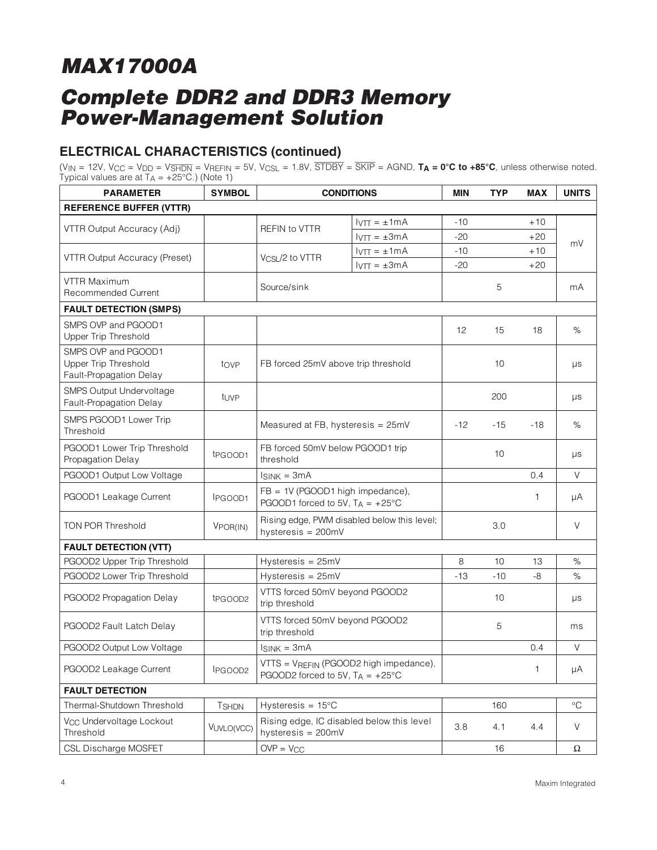## **Complete DDR2 and DDR3 Memory Power-Management Solution**

### **ELECTRICAL CHARACTERISTICS (continued)**

(V<sub>IN</sub> = 12V, V<sub>CC</sub> = V<sub>DD</sub> = V<sub>SHDN</sub> = V<sub>REFIN</sub> = 5V, V<sub>CSL</sub> = 1.8V,  $\overline{STDBY}$  =  $\overline{SKIP}$  = AGND, **T<sub>A</sub> = 0°C to +85°C**, unless otherwise noted. Typical values are at  $T_A = +25^{\circ}C$ .) (Note 1)

| <b>PARAMETER</b>                                                              | <b>SYMBOL</b>       | <b>CONDITIONS</b>                                                                   |                                    | MIN   | <b>TYP</b> | <b>MAX</b> | <b>UNITS</b> |
|-------------------------------------------------------------------------------|---------------------|-------------------------------------------------------------------------------------|------------------------------------|-------|------------|------------|--------------|
| <b>REFERENCE BUFFER (VTTR)</b>                                                |                     |                                                                                     |                                    |       |            |            |              |
|                                                                               |                     |                                                                                     | $I_{\text{VTT}} = \pm 1 \text{mA}$ | $-10$ |            | $+10$      |              |
| VTTR Output Accuracy (Adj)                                                    |                     | REFIN to VTTR                                                                       | $IVTT = \pm 3mA$                   | $-20$ |            | $+20$      |              |
|                                                                               |                     |                                                                                     | $I_{\text{VTT}} = \pm 1 \text{mA}$ | $-10$ |            | $+10$      | mV           |
| VTTR Output Accuracy (Preset)                                                 |                     | V <sub>CSL</sub> /2 to VTTR                                                         | $I_{\text{VTT}} = \pm 3 \text{mA}$ | $-20$ |            | $+20$      |              |
| VTTR Maximum<br><b>Recommended Current</b>                                    |                     | Source/sink                                                                         |                                    |       | 5          |            | mA           |
| <b>FAULT DETECTION (SMPS)</b>                                                 |                     |                                                                                     |                                    |       |            |            |              |
| SMPS OVP and PGOOD1<br><b>Upper Trip Threshold</b>                            |                     |                                                                                     |                                    | 12    | 15         | 18         | $\%$         |
| SMPS OVP and PGOOD1<br><b>Upper Trip Threshold</b><br>Fault-Propagation Delay | tove                | FB forced 25mV above trip threshold                                                 |                                    |       | 10         |            | μs           |
| <b>SMPS Output Undervoltage</b><br>Fault-Propagation Delay                    | tuvp                |                                                                                     |                                    |       | 200        |            | $\mu s$      |
| SMPS PGOOD1 Lower Trip<br>Threshold                                           |                     | Measured at FB, hysteresis = 25mV                                                   |                                    | $-12$ | -15        | $-18$      | $\%$         |
| PGOOD1 Lower Trip Threshold<br>Propagation Delay                              | t <sub>PGOOD1</sub> | FB forced 50mV below PGOOD1 trip<br>threshold                                       |                                    |       | 10         |            | $\mu s$      |
| PGOOD1 Output Low Voltage                                                     |                     | $I_{SINK} = 3mA$                                                                    |                                    |       |            | 0.4        | V            |
| PGOOD1 Leakage Current                                                        | I <sub>PGOOD1</sub> | FB = 1V (PGOOD1 high impedance),<br>PGOOD1 forced to 5V, $T_A = +25^{\circ}C$       |                                    |       |            | 1          | μA           |
| <b>TON POR Threshold</b>                                                      | VPOR(IN)            | Rising edge, PWM disabled below this level;<br>hysteresis = 200mV                   |                                    |       | 3.0        |            | $\vee$       |
| <b>FAULT DETECTION (VTT)</b>                                                  |                     |                                                                                     |                                    |       |            |            |              |
| PGOOD2 Upper Trip Threshold                                                   |                     | Hysteresis = 25mV                                                                   |                                    | 8     | 10         | 13         | $\%$         |
| PGOOD2 Lower Trip Threshold                                                   |                     | Hysteresis = 25mV                                                                   |                                    | $-13$ | $-10$      | -8         | $\%$         |
| PGOOD2 Propagation Delay                                                      | tpGOOD2             | VTTS forced 50mV beyond PGOOD2<br>trip threshold                                    |                                    |       | 10         |            | μs           |
| PGOOD2 Fault Latch Delay                                                      |                     | VTTS forced 50mV beyond PGOOD2<br>trip threshold                                    |                                    |       | 5          |            | ms           |
| PGOOD2 Output Low Voltage                                                     |                     | $I_{SINK} = 3mA$                                                                    |                                    |       |            | 0.4        | $\vee$       |
| PGOOD2 Leakage Current                                                        | IPGOOD2             | VTTS = VREFIN (PGOOD2 high impedance),<br>PGOOD2 forced to 5V, $T_A = +25^{\circ}C$ |                                    |       |            | 1          | μA           |
| <b>FAULT DETECTION</b>                                                        |                     |                                                                                     |                                    |       |            |            |              |
| Thermal-Shutdown Threshold                                                    | <b>TSHDN</b>        | Hysteresis = $15^{\circ}$ C                                                         |                                    |       | 160        |            | $\circ$ C    |
| V <sub>CC</sub> Undervoltage Lockout<br>Threshold                             | VUVLO(VCC)          | Rising edge, IC disabled below this level<br>hysteresis = 200mV                     |                                    | 3.8   | 4.1        | 4.4        | V            |
| CSL Discharge MOSFET                                                          |                     | $OVP = V_{CC}$                                                                      |                                    |       | 16         |            | $\Omega$     |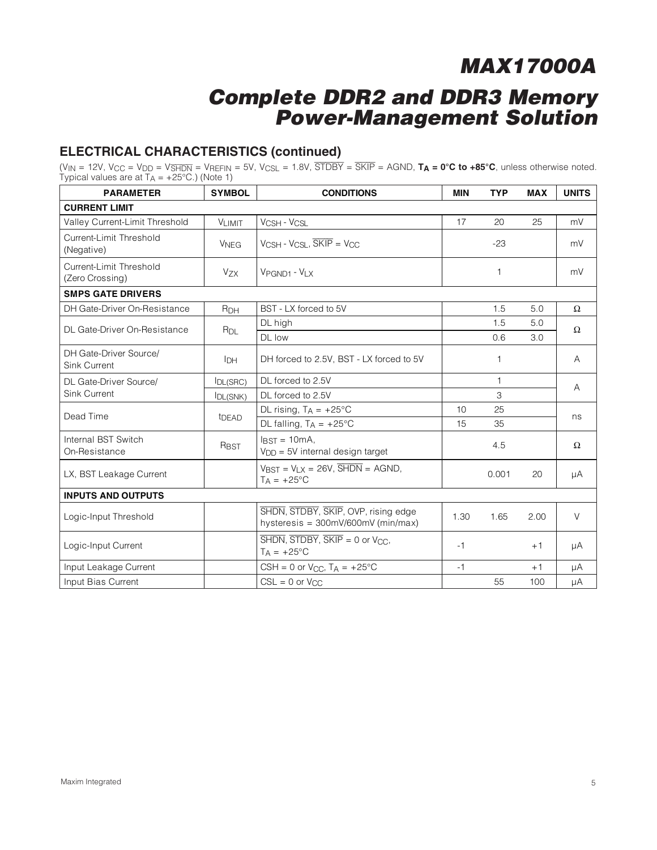### **Complete DDR2 and DDR3 Memory Power-Management Solution**

### **ELECTRICAL CHARACTERISTICS (continued)**

(V<sub>IN</sub> = 12V, V<sub>CC</sub> = V<sub>DD</sub> = V<sub>SHDN</sub> = V<sub>REFIN</sub> = 5V, V<sub>CSL</sub> = 1.8V,  $\overline{STDBY}$  =  $\overline{SKIP}$  = AGND, **T<sub>A</sub> = 0°C to +85°C**, unless otherwise noted. Typical values are at  $T_A = +25^{\circ}C$ .) (Note 1)

| <b>PARAMETER</b>                           | <b>SYMBOL</b>          | <b>CONDITIONS</b>                                                                                                       |            | <b>TYP</b> | <b>MAX</b> | <b>UNITS</b> |  |
|--------------------------------------------|------------------------|-------------------------------------------------------------------------------------------------------------------------|------------|------------|------------|--------------|--|
| <b>CURRENT LIMIT</b>                       |                        |                                                                                                                         |            |            |            |              |  |
| Valley Current-Limit Threshold             | <b>VLIMIT</b>          | VCSH - VCSL                                                                                                             | 17         | 20         | 25         | mV           |  |
| Current-Limit Threshold<br>(Negative)      | <b>V<sub>NEG</sub></b> | $V_{\text{CSH}}$ - $V_{\text{CSL}}$ , $\overline{\text{SKIP}}$ = $V_{\text{CC}}$                                        |            | $-23$      |            | mV           |  |
| Current-Limit Threshold<br>(Zero Crossing) | <b>Vzx</b>             | VPGND1 - VLX                                                                                                            |            | 1          |            | mV           |  |
| <b>SMPS GATE DRIVERS</b>                   |                        |                                                                                                                         |            |            |            |              |  |
| DH Gate-Driver On-Resistance               | R <sub>DH</sub>        | BST - LX forced to 5V                                                                                                   |            | 1.5        | 5.0        | $\Omega$     |  |
| DL Gate-Driver On-Resistance               | $R_{DL}$               | DL high                                                                                                                 | 1.5<br>5.0 |            |            | $\Omega$     |  |
|                                            |                        | DL low                                                                                                                  | 0.6        |            | 3.0        |              |  |
| DH Gate-Driver Source/<br>Sink Current     | IDН                    | DH forced to 2.5V, BST - LX forced to 5V                                                                                |            | 1          |            | A            |  |
| DL Gate-Driver Source/                     | IDL(SRC)               | DL forced to 2.5V                                                                                                       |            | 1          |            | A            |  |
| <b>Sink Current</b>                        | IDL(SNK)               | DL forced to 2.5V                                                                                                       |            | 3          |            |              |  |
| Dead Time                                  | t <sub>DEAD</sub>      | DL rising, $T_A = +25^{\circ}C$                                                                                         | 10         | 25         |            | ns           |  |
|                                            |                        | DL falling, $T_A = +25^{\circ}C$                                                                                        | 15         | 35         |            |              |  |
| Internal BST Switch<br>On-Resistance       | RBST                   | $IRST = 10mA$<br>$VDD = 5V$ internal design target                                                                      |            | 4.5        |            | $\Omega$     |  |
| LX, BST Leakage Current                    |                        | $V_{\text{BST}} = V_{\text{LX}} = 26V$ , $\overline{\text{SHDN}} = \text{AGND}$ ,<br>$T_A = +25$ °C                     |            | 0.001      | 20         | μA           |  |
| <b>INPUTS AND OUTPUTS</b>                  |                        |                                                                                                                         |            |            |            |              |  |
| Logic-Input Threshold                      |                        | SHDN, STDBY, SKIP, OVP, rising edge<br>hysteresis = 300mV/600mV (min/max)                                               | 1.30       | 1.65       | 2.00       | $\vee$       |  |
| Logic-Input Current                        |                        | $\overline{\text{SHDN}}$ , $\overline{\text{STDBY}}$ , $\overline{\text{SKIP}} = 0$ or $\text{VCC}$ ,<br>$T_A = +25$ °C | $-1$       |            | $+1$       | μA           |  |
| Input Leakage Current                      |                        | CSH = 0 or $V_{CC}$ , T <sub>A</sub> = +25°C                                                                            | $-1$       |            | $+1$       | μA           |  |
| Input Bias Current                         |                        | $CSL = 0$ or $V_{CC}$                                                                                                   |            | 55         | 100        | μA           |  |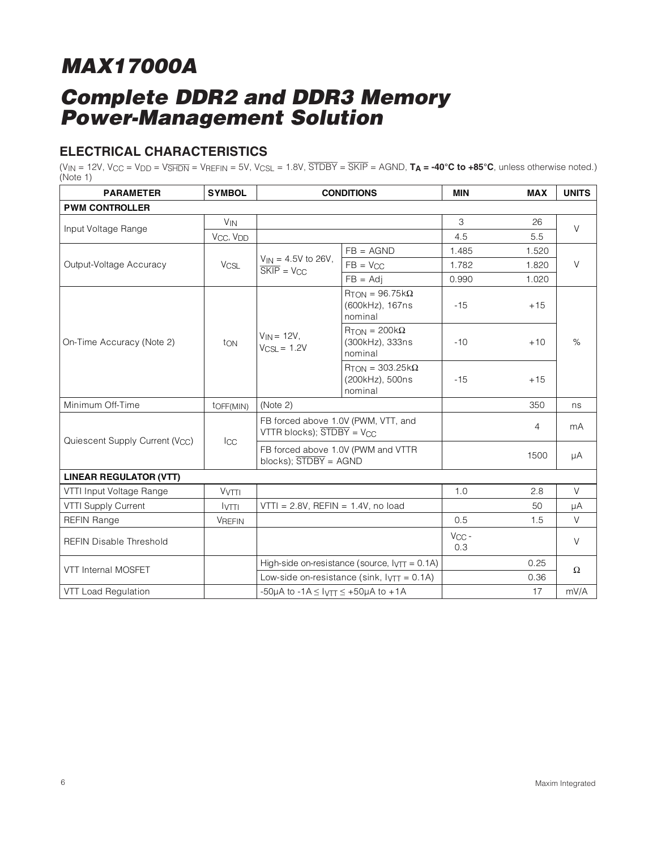## **Complete DDR2 and DDR3 Memory Power-Management Solution**

### **ELECTRICAL CHARACTERISTICS**

 $(V_{IN} = 12V$ ,  $V_{CC} = V_{DD} = V_{\overline{SHDN}} = V_{REFIN} = 5V$ ,  $V_{CSL} = 1.8V$ ,  $\overline{STDBY} = \overline{SKIP} = AGND$ ,  $T_A = -40°C$  to  $+85°C$ , unless otherwise noted.)  $(Note 1)$ 

| <b>PARAMETER</b>                            | <b>SYMBOL</b>                     | <b>CONDITIONS</b>                                          |                                                                        | MIN               | <b>MAX</b> | <b>UNITS</b> |
|---------------------------------------------|-----------------------------------|------------------------------------------------------------|------------------------------------------------------------------------|-------------------|------------|--------------|
| <b>PWM CONTROLLER</b>                       |                                   |                                                            |                                                                        |                   |            |              |
|                                             | $V_{IN}$                          |                                                            |                                                                        | 3                 | 26         | $\vee$       |
| Input Voltage Range                         | V <sub>CC</sub> , V <sub>DD</sub> |                                                            |                                                                        | 4.5               | 5.5        |              |
|                                             |                                   |                                                            | $FB = AGND$                                                            | 1.485             | 1.520      | $\vee$       |
| Output-Voltage Accuracy                     | <b>V<sub>CSL</sub></b>            | $V_{IN} = 4.5V$ to 26V,<br>$SKIP = V_{CC}$                 | $FB = V_{CC}$                                                          | 1.782             | 1.820      |              |
|                                             |                                   |                                                            | $FB = Adi$                                                             | 0.990             | 1.020      |              |
|                                             |                                   |                                                            | $R_{TON} = 96.75 k\Omega$<br>(600kHz), 167ns<br>nominal                | $-15$             | $+15$      |              |
| On-Time Accuracy (Note 2)                   | ton                               | $V_{IN}$ = 12V,<br>$V_{CSL} = 1.2V$                        | $R_{TON} = 200k\Omega$<br>(300kHz), 333ns<br>nominal                   | $-10$             | $+10$      | $\%$         |
|                                             |                                   |                                                            | $R_{\text{TON}} = 303.25 \text{k}\Omega$<br>(200kHz), 500ns<br>nominal | $-15$             | $+15$      |              |
| Minimum Off-Time                            | toff(MIN)                         | (Note 2)                                                   |                                                                        |                   | 350        | ns           |
|                                             |                                   | VTTR blocks); $\overline{STDBY}$ = V <sub>CC</sub>         | FB forced above 1.0V (PWM, VTT, and                                    |                   | 4          | mA           |
| Quiescent Supply Current (V <sub>CC</sub> ) | Icc                               | $blocks);$ $\overline{STDBY} = AGND$                       | FB forced above 1.0V (PWM and VTTR                                     |                   | 1500       | μA           |
| <b>LINEAR REGULATOR (VTT)</b>               |                                   |                                                            |                                                                        |                   |            |              |
| VTTI Input Voltage Range                    | <b>V<sub>VTTI</sub></b>           |                                                            |                                                                        | 1.0               | 2.8        | V            |
| <b>VTTI Supply Current</b>                  | <b>IVTTI</b>                      | $VTTI = 2.8V$ , REFIN = 1.4V, no load                      |                                                                        |                   | 50         | μA           |
| <b>REFIN Range</b>                          | <b>VREFIN</b>                     |                                                            |                                                                        | 0.5               | 1.5        | $\vee$       |
| <b>REFIN Disable Threshold</b>              |                                   |                                                            |                                                                        | $V_{CC}$ -<br>0.3 |            | V            |
| VTT Internal MOSFET                         |                                   |                                                            | High-side on-resistance (source, $I_V = 0.1$ A)                        |                   | 0.25       | $\Omega$     |
|                                             |                                   |                                                            | Low-side on-resistance (sink, $I_{\text{VTT}} = 0.1$ A)                |                   | 0.36       |              |
| VTT Load Regulation                         |                                   | -50µA to -1A $\leq$ Iy $\overline{11}$ $\leq$ +50µA to +1A |                                                                        |                   | 17         | mV/A         |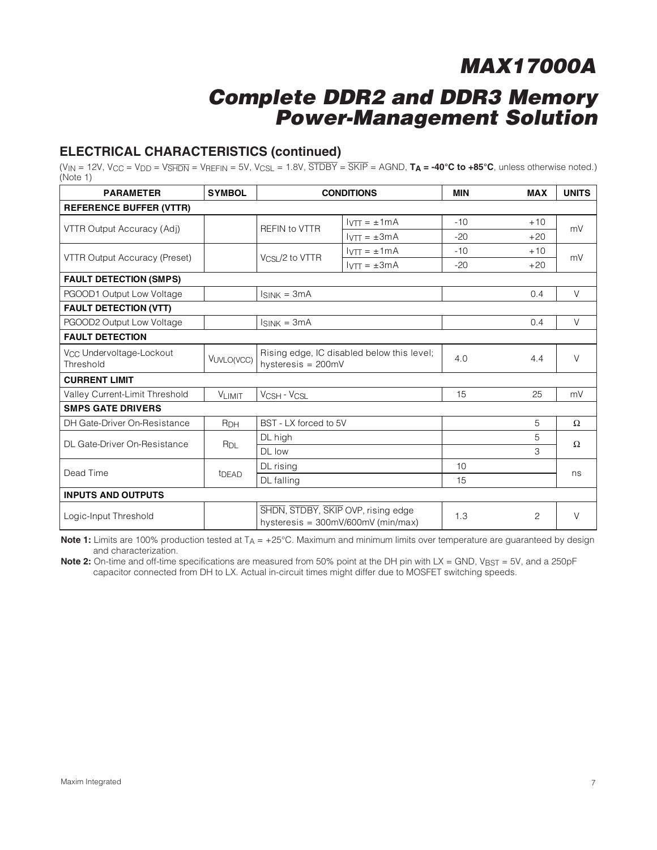### **Complete DDR2 and DDR3 Memory Power-Management Solution**

### **ELECTRICAL CHARACTERISTICS (continued)**

 $(V_{IN} = 12V$ ,  $V_{CC} = V_{DD} = V_{\overline{S}H\overline{D}N} = V_{\overline{R}E\overline{F}IN} = 5V$ ,  $V_{CSL} = 1.8V$ ,  $\overline{STDBY} = \overline{SKIP} = AGND$ ,  $T_A = -40^{\circ}C$  to  $+85^{\circ}C$ , unless otherwise noted.) (Note 1)

| <b>PARAMETER</b>                                  | <b>SYMBOL</b>     | <b>CONDITIONS</b>                                                          |                                    | <b>MIN</b> | <b>MAX</b> | <b>UNITS</b> |  |  |  |
|---------------------------------------------------|-------------------|----------------------------------------------------------------------------|------------------------------------|------------|------------|--------------|--|--|--|
| <b>REFERENCE BUFFER (VTTR)</b>                    |                   |                                                                            |                                    |            |            |              |  |  |  |
| VTTR Output Accuracy (Adj)                        |                   | <b>REFIN to VTTR</b>                                                       | $IVT = \pm 1mA$                    | $-10$      | $+10$      | mV           |  |  |  |
|                                                   |                   |                                                                            | $IVTT = \pm 3mA$                   | $-20$      | $+20$      |              |  |  |  |
| VTTR Output Accuracy (Preset)                     |                   | Vcsi /2 to VTTR                                                            | $IVTT = \pm 1mA$                   | $-10$      | $+10$      | mV           |  |  |  |
|                                                   |                   |                                                                            | $I_{\text{VTT}} = \pm 3 \text{mA}$ | $-20$      | $+20$      |              |  |  |  |
| <b>FAULT DETECTION (SMPS)</b>                     |                   |                                                                            |                                    |            |            |              |  |  |  |
| PGOOD1 Output Low Voltage                         |                   | $lsink = 3mA$                                                              |                                    |            | 0.4        | $\vee$       |  |  |  |
| <b>FAULT DETECTION (VTT)</b>                      |                   |                                                                            |                                    |            |            |              |  |  |  |
| PGOOD2 Output Low Voltage                         |                   | $Isink = 3mA$                                                              |                                    |            | 0.4        | V            |  |  |  |
| <b>FAULT DETECTION</b>                            |                   |                                                                            |                                    |            |            |              |  |  |  |
| V <sub>CC</sub> Undervoltage-Lockout<br>Threshold | VUVLO(VCC)        | Rising edge, IC disabled below this level;<br>hysteresis = 200mV           |                                    | 4.0        | 4.4        | $\vee$       |  |  |  |
| <b>CURRENT LIMIT</b>                              |                   |                                                                            |                                    |            |            |              |  |  |  |
| Valley Current-Limit Threshold                    | VLIMIT            | VCSH - VCSL                                                                |                                    | 15         | 25         | mV           |  |  |  |
| <b>SMPS GATE DRIVERS</b>                          |                   |                                                                            |                                    |            |            |              |  |  |  |
| DH Gate-Driver On-Resistance                      | R <sub>DH</sub>   | BST - LX forced to 5V                                                      |                                    |            | 5          | $\Omega$     |  |  |  |
| DL Gate-Driver On-Resistance                      | R <sub>DL</sub>   | DL high                                                                    |                                    |            | 5          | $\Omega$     |  |  |  |
|                                                   |                   | DL low                                                                     |                                    |            | 3          |              |  |  |  |
| Dead Time                                         | t <sub>DEAD</sub> | DL rising                                                                  |                                    | 10         |            | ns           |  |  |  |
|                                                   |                   | DL falling                                                                 |                                    | 15         |            |              |  |  |  |
| <b>INPUTS AND OUTPUTS</b>                         |                   |                                                                            |                                    |            |            |              |  |  |  |
| Logic-Input Threshold                             |                   | SHDN, STDBY, SKIP OVP, rising edge<br>hysteresis = $300mV/600mV$ (min/max) |                                    | 1.3        | 2          | $\vee$       |  |  |  |

**Note 1:** Limits are 100% production tested at T<sub>A</sub> = +25°C. Maximum and minimum limits over temperature are guaranteed by design and characterization.

**Note 2:** On-time and off-time specifications are measured from 50% point at the DH pin with LX = GND, V<sub>BST</sub> = 5V, and a 250pF capacitor connected from DH to LX. Actual in-circuit times might differ due to MOSFET switching speeds.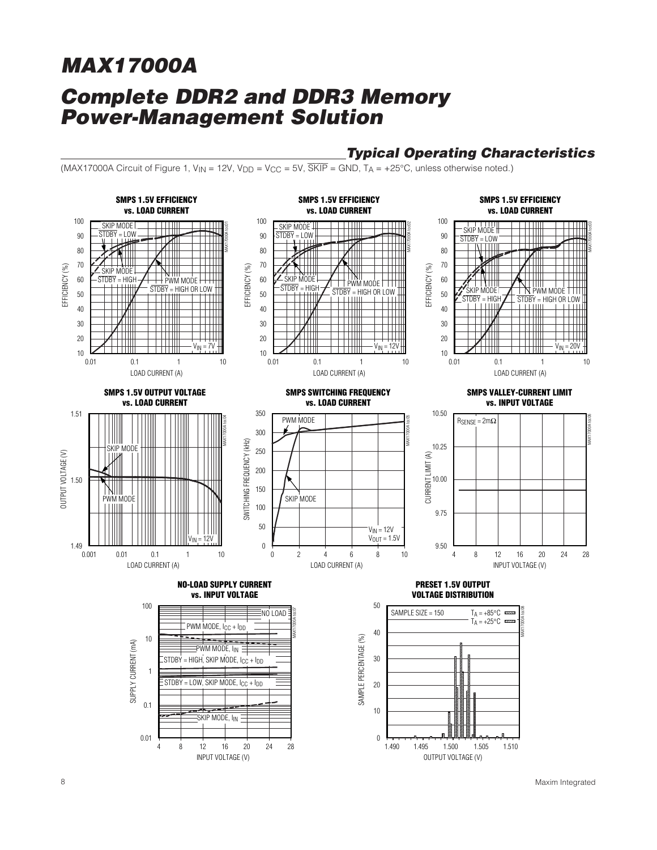### **Typical Operating Characteristics**

(MAX17000A Circuit of Figure 1,  $V_{IN}$  = 12V,  $V_{DD}$  =  $V_{CC}$  = 5V,  $\overline{SKIP}$  = GND,  $T_A$  = +25°C, unless otherwise noted.)



8 Maxim Integrated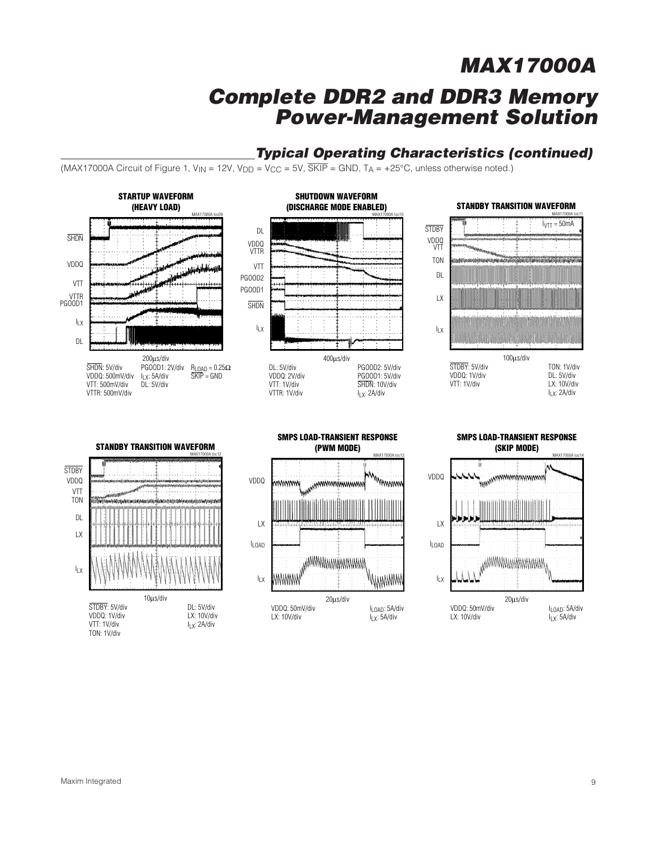### **Typical Operating Characteristics (continued)**

(MAX17000A Circuit of Figure 1, V<sub>IN</sub> = 12V, V<sub>DD</sub> = V<sub>CC</sub> = 5V,  $\overline{\text{SKIP}}$  = GND, T<sub>A</sub> = +25°C, unless otherwise noted.)

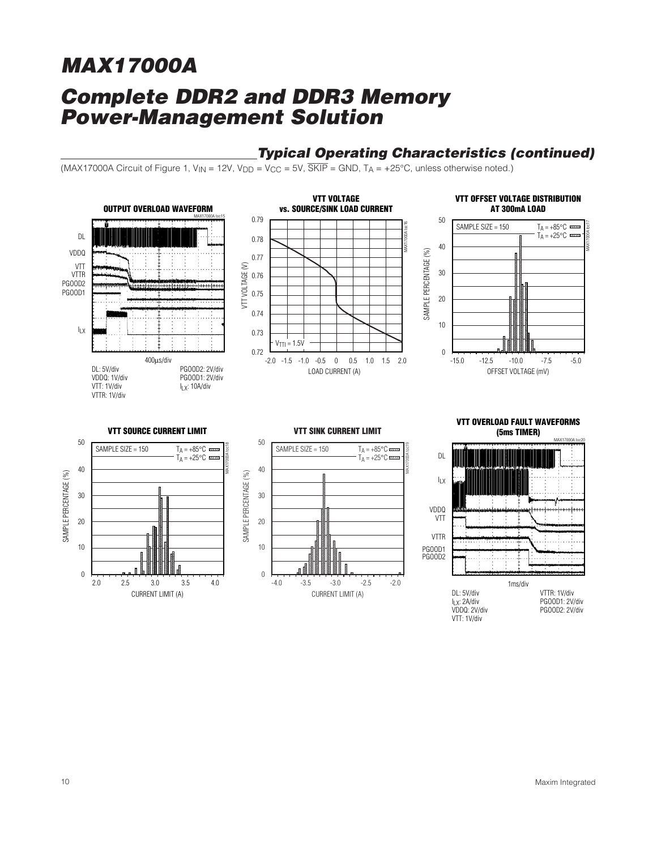### **Typical Operating Characteristics (continued)**

(MAX17000A Circuit of Figure 1,  $V_{IN}$  = 12V,  $V_{DD}$  =  $V_{CC}$  = 5V,  $\overline{SKIP}$  = GND,  $T_A$  = +25°C, unless otherwise noted.)

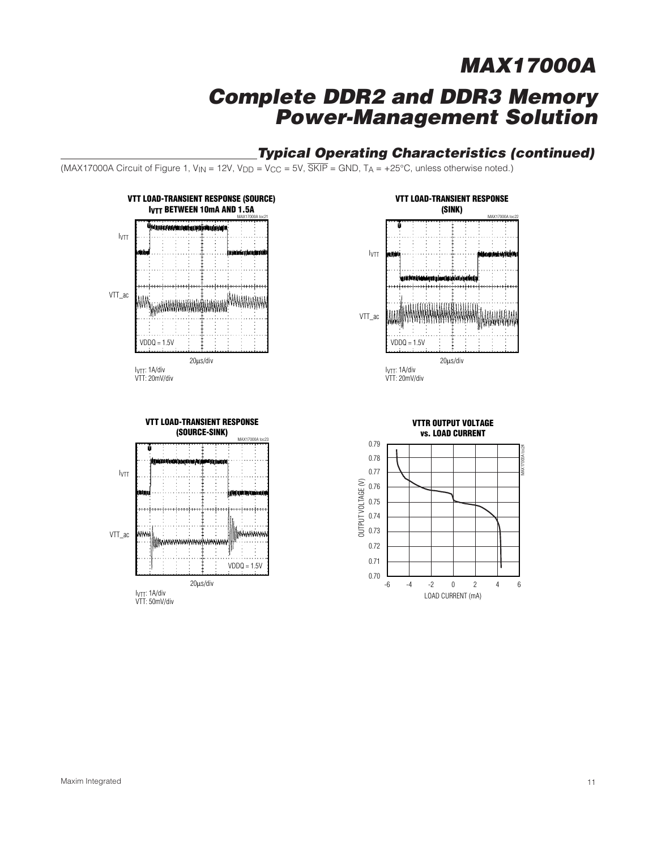### **Typical Operating Characteristics (continued)**

(MAX17000A Circuit of Figure 1, V<sub>IN</sub> = 12V, V<sub>DD</sub> = V<sub>CC</sub> = 5V,  $\overline{\text{SKIP}}$  = GND, T<sub>A</sub> = +25°C, unless otherwise noted.)

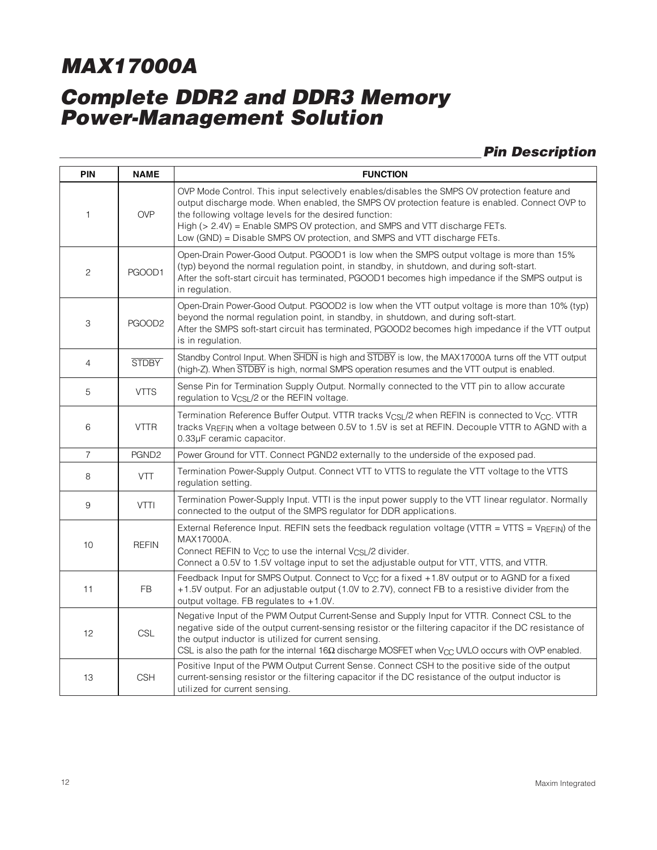## **Complete DDR2 and DDR3 Memory Power-Management Solution**

### **Pin Description**

| <b>PIN</b>     | <b>NAME</b>       | <b>FUNCTION</b>                                                                                                                                                                                                                                                                                                                                                                                                     |
|----------------|-------------------|---------------------------------------------------------------------------------------------------------------------------------------------------------------------------------------------------------------------------------------------------------------------------------------------------------------------------------------------------------------------------------------------------------------------|
| 1              | <b>OVP</b>        | OVP Mode Control. This input selectively enables/disables the SMPS OV protection feature and<br>output discharge mode. When enabled, the SMPS OV protection feature is enabled. Connect OVP to<br>the following voltage levels for the desired function:<br>High (> 2.4V) = Enable SMPS OV protection, and SMPS and VTT discharge FETs.<br>Low (GND) = Disable SMPS OV protection, and SMPS and VTT discharge FETs. |
| $\overline{c}$ | PGOOD1            | Open-Drain Power-Good Output. PGOOD1 is low when the SMPS output voltage is more than 15%<br>(typ) beyond the normal regulation point, in standby, in shutdown, and during soft-start.<br>After the soft-start circuit has terminated, PGOOD1 becomes high impedance if the SMPS output is<br>in regulation.                                                                                                        |
| 3              | PGOOD2            | Open-Drain Power-Good Output. PGOOD2 is low when the VTT output voltage is more than 10% (typ)<br>beyond the normal regulation point, in standby, in shutdown, and during soft-start.<br>After the SMPS soft-start circuit has terminated, PGOOD2 becomes high impedance if the VTT output<br>is in regulation.                                                                                                     |
| $\overline{4}$ | <b>STDBY</b>      | Standby Control Input. When SHDN is high and STDBY is low, the MAX17000A turns off the VTT output<br>(high-Z). When STDBY is high, normal SMPS operation resumes and the VTT output is enabled.                                                                                                                                                                                                                     |
| 5              | <b>VTTS</b>       | Sense Pin for Termination Supply Output. Normally connected to the VTT pin to allow accurate<br>regulation to V <sub>CSL</sub> /2 or the REFIN voltage.                                                                                                                                                                                                                                                             |
| 6              | <b>VTTR</b>       | Termination Reference Buffer Output. VTTR tracks V <sub>CSL</sub> /2 when REFIN is connected to V <sub>CC</sub> . VTTR<br>tracks V <sub>REFIN</sub> when a voltage between 0.5V to 1.5V is set at REFIN. Decouple VTTR to AGND with a<br>0.33µF ceramic capacitor.                                                                                                                                                  |
| $\overline{7}$ | PGND <sub>2</sub> | Power Ground for VTT. Connect PGND2 externally to the underside of the exposed pad.                                                                                                                                                                                                                                                                                                                                 |
| 8              | <b>VTT</b>        | Termination Power-Supply Output. Connect VTT to VTTS to regulate the VTT voltage to the VTTS<br>regulation setting.                                                                                                                                                                                                                                                                                                 |
| 9              | <b>VTTI</b>       | Termination Power-Supply Input. VTTI is the input power supply to the VTT linear regulator. Normally<br>connected to the output of the SMPS regulator for DDR applications.                                                                                                                                                                                                                                         |
| 10             | <b>REFIN</b>      | External Reference Input. REFIN sets the feedback regulation voltage (VTTR = VTTS = VREFIN) of the<br>MAX17000A.<br>Connect REFIN to V <sub>CC</sub> to use the internal V <sub>CSL</sub> /2 divider.<br>Connect a 0.5V to 1.5V voltage input to set the adjustable output for VTT, VTTS, and VTTR.                                                                                                                 |
| 11             | FB                | Feedback Input for SMPS Output. Connect to $V_{CC}$ for a fixed +1.8V output or to AGND for a fixed<br>+1.5V output. For an adjustable output (1.0V to 2.7V), connect FB to a resistive divider from the<br>output voltage. FB regulates to +1.0V.                                                                                                                                                                  |
| 12             | <b>CSL</b>        | Negative Input of the PWM Output Current-Sense and Supply Input for VTTR. Connect CSL to the<br>negative side of the output current-sensing resistor or the filtering capacitor if the DC resistance of<br>the output inductor is utilized for current sensing.<br>CSL is also the path for the internal $16\Omega$ discharge MOSFET when V <sub>CC</sub> UVLO occurs with OVP enabled.                             |
| 13             | <b>CSH</b>        | Positive Input of the PWM Output Current Sense. Connect CSH to the positive side of the output<br>current-sensing resistor or the filtering capacitor if the DC resistance of the output inductor is<br>utilized for current sensing.                                                                                                                                                                               |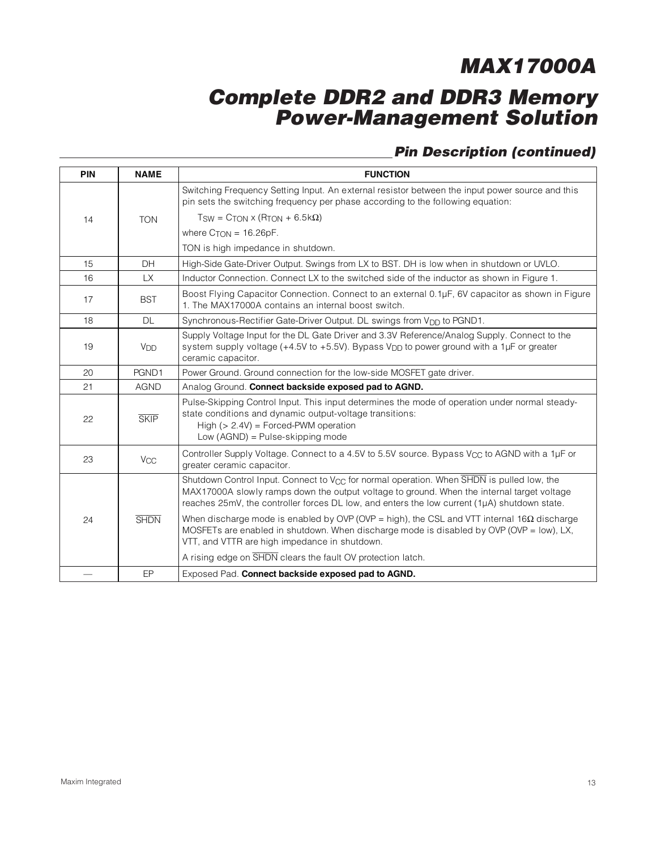### **Complete DDR2 and DDR3 Memory Power-Management Solution**

### **Pin Description (continued)**

| <b>PIN</b> | <b>NAME</b>           | <b>FUNCTION</b>                                                                                                                                                                                                                                                                                                   |  |  |  |  |  |
|------------|-----------------------|-------------------------------------------------------------------------------------------------------------------------------------------------------------------------------------------------------------------------------------------------------------------------------------------------------------------|--|--|--|--|--|
|            |                       | Switching Frequency Setting Input. An external resistor between the input power source and this<br>pin sets the switching frequency per phase according to the following equation:                                                                                                                                |  |  |  |  |  |
| 14         | <b>TON</b>            | $T_{SW} = C_{TON} \times (R_{TON} + 6.5 \text{k}\Omega)$                                                                                                                                                                                                                                                          |  |  |  |  |  |
|            |                       | where $C_{TON} = 16.26pF$ .                                                                                                                                                                                                                                                                                       |  |  |  |  |  |
|            |                       | TON is high impedance in shutdown.                                                                                                                                                                                                                                                                                |  |  |  |  |  |
| 15         | DH                    | High-Side Gate-Driver Output. Swings from LX to BST. DH is low when in shutdown or UVLO.                                                                                                                                                                                                                          |  |  |  |  |  |
| 16         | LX.                   | Inductor Connection. Connect LX to the switched side of the inductor as shown in Figure 1.                                                                                                                                                                                                                        |  |  |  |  |  |
| 17         | <b>BST</b>            | Boost Flying Capacitor Connection. Connect to an external 0.1µF, 6V capacitor as shown in Figure<br>1. The MAX17000A contains an internal boost switch.                                                                                                                                                           |  |  |  |  |  |
| 18         | <b>DL</b>             | Synchronous-Rectifier Gate-Driver Output. DL swings from V <sub>DD</sub> to PGND1.                                                                                                                                                                                                                                |  |  |  |  |  |
| 19         | <b>V<sub>DD</sub></b> | Supply Voltage Input for the DL Gate Driver and 3.3V Reference/Analog Supply. Connect to the<br>system supply voltage (+4.5V to +5.5V). Bypass $V_{DD}$ to power ground with a 1µF or greater<br>ceramic capacitor.                                                                                               |  |  |  |  |  |
| 20         | PGND1                 | Power Ground. Ground connection for the low-side MOSFET gate driver.                                                                                                                                                                                                                                              |  |  |  |  |  |
| 21         | <b>AGND</b>           | Analog Ground. Connect backside exposed pad to AGND.                                                                                                                                                                                                                                                              |  |  |  |  |  |
| 22         | <b>SKIP</b>           | Pulse-Skipping Control Input. This input determines the mode of operation under normal steady-<br>state conditions and dynamic output-voltage transitions:<br>High $(> 2.4V)$ = Forced-PWM operation<br>Low $(AGND)$ = Pulse-skipping mode                                                                        |  |  |  |  |  |
| 23         | $V_{CC}$              | Controller Supply Voltage. Connect to a 4.5V to 5.5V source. Bypass V <sub>CC</sub> to AGND with a 1µF or<br>greater ceramic capacitor.                                                                                                                                                                           |  |  |  |  |  |
|            |                       | Shutdown Control Input. Connect to $V_{CC}$ for normal operation. When $\overline{SHDN}$ is pulled low, the<br>MAX17000A slowly ramps down the output voltage to ground. When the internal target voltage<br>reaches $25mV$ , the controller forces DL low, and enters the low current $(1\mu A)$ shutdown state. |  |  |  |  |  |
| 24         | <b>SHDN</b>           | When discharge mode is enabled by OVP (OVP = high), the CSL and VTT internal $16\Omega$ discharge<br>MOSFETs are enabled in shutdown. When discharge mode is disabled by OVP (OVP = $low$ ), LX,<br>VTT, and VTTR are high impedance in shutdown.                                                                 |  |  |  |  |  |
|            |                       | A rising edge on SHDN clears the fault OV protection latch.                                                                                                                                                                                                                                                       |  |  |  |  |  |
|            | EP                    | Exposed Pad. Connect backside exposed pad to AGND.                                                                                                                                                                                                                                                                |  |  |  |  |  |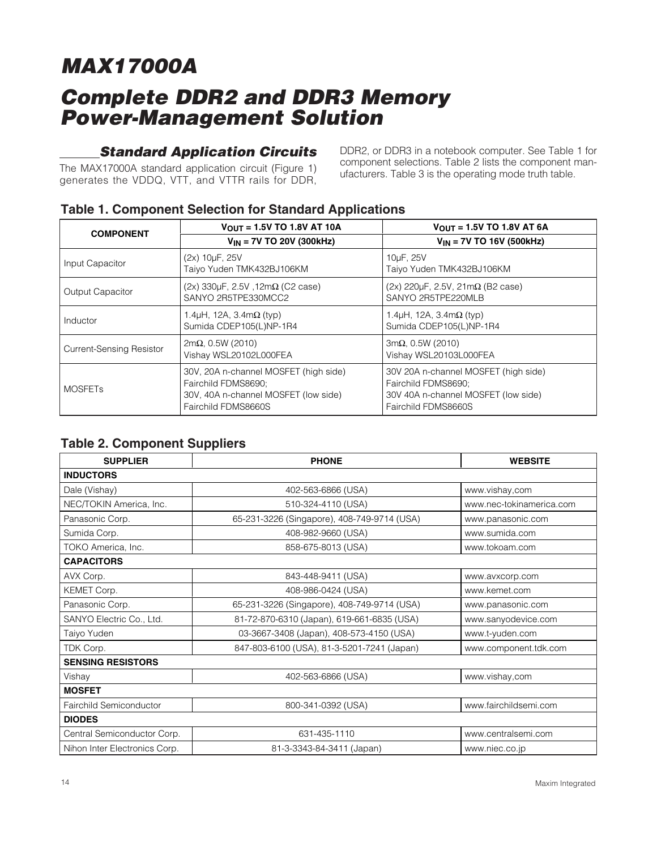### **Standard Application Circuits**

The MAX17000A standard application circuit (Figure 1) generates the VDDQ, VTT, and VTTR rails for DDR, DDR2, or DDR3 in a notebook computer. See Table 1 for component selections. Table 2 lists the component manufacturers. Table 3 is the operating mode truth table.

| . .                             |                                                                                                                             |                                                                                                                           |  |  |
|---------------------------------|-----------------------------------------------------------------------------------------------------------------------------|---------------------------------------------------------------------------------------------------------------------------|--|--|
| <b>COMPONENT</b>                | $V_{OUT} = 1.5V$ TO 1.8V AT 10A                                                                                             | $V_{OUT} = 1.5V$ TO 1.8V AT 6A                                                                                            |  |  |
|                                 | $V_{IN}$ = 7V TO 20V (300kHz)                                                                                               | $V_{IN}$ = 7V TO 16V (500kHz)                                                                                             |  |  |
| Input Capacitor                 | (2x) 10µF, 25V<br>Taiyo Yuden TMK432BJ106KM                                                                                 | 10µF, 25V<br>Taiyo Yuden TMK432BJ106KM                                                                                    |  |  |
| Output Capacitor                | $(2x)$ 330µF, 2.5V, 12m $\Omega$ (C2 case)<br>SANYO 2R5TPE330MCC2                                                           | $(2x)$ 220 $\mu$ F, 2.5V, 21m $\Omega$ (B2 case)<br>SANYO 2R5TPE220MLB                                                    |  |  |
| Inductor                        | 1.4 $\mu$ H, 12A, 3.4m $\Omega$ (typ)<br>Sumida CDEP105(L)NP-1R4                                                            | 1.4 $\mu$ H, 12A, 3.4m $\Omega$ (typ)<br>Sumida CDEP105(L)NP-1R4                                                          |  |  |
| <b>Current-Sensing Resistor</b> | $2m\Omega$ , 0.5W (2010)<br>Vishay WSL20102L000FEA                                                                          | $3m\Omega$ , 0.5W (2010)<br>Vishay WSL20103L000FEA                                                                        |  |  |
| <b>MOSFETs</b>                  | 30V, 20A n-channel MOSFET (high side)<br>Fairchild FDMS8690;<br>30V, 40A n-channel MOSFET (low side)<br>Fairchild FDMS8660S | 30V 20A n-channel MOSFET (high side)<br>Fairchild FDMS8690;<br>30V 40A n-channel MOSFET (low side)<br>Fairchild FDMS8660S |  |  |

### **Table 1. Component Selection for Standard Applications**

### **Table 2. Component Suppliers**

| <b>SUPPLIER</b>               | <b>WEBSITE</b>                              |                          |
|-------------------------------|---------------------------------------------|--------------------------|
| <b>INDUCTORS</b>              |                                             |                          |
| Dale (Vishay)                 | 402-563-6866 (USA)                          | www.vishay,com           |
| NEC/TOKIN America, Inc.       | 510-324-4110 (USA)                          | www.nec-tokinamerica.com |
| Panasonic Corp.               | 65-231-3226 (Singapore), 408-749-9714 (USA) | www.panasonic.com        |
| Sumida Corp.                  | 408-982-9660 (USA)                          | www.sumida.com           |
| TOKO America, Inc.            | 858-675-8013 (USA)                          | www.tokoam.com           |
| <b>CAPACITORS</b>             |                                             |                          |
| AVX Corp.                     | 843-448-9411 (USA)                          | www.avxcorp.com          |
| KEMET Corp.                   | 408-986-0424 (USA)                          | www.kemet.com            |
| Panasonic Corp.               | 65-231-3226 (Singapore), 408-749-9714 (USA) | www.panasonic.com        |
| SANYO Electric Co., Ltd.      | 81-72-870-6310 (Japan), 619-661-6835 (USA)  | www.sanyodevice.com      |
| Taiyo Yuden                   | 03-3667-3408 (Japan), 408-573-4150 (USA)    | www.t-yuden.com          |
| TDK Corp.                     | 847-803-6100 (USA), 81-3-5201-7241 (Japan)  | www.component.tdk.com    |
| <b>SENSING RESISTORS</b>      |                                             |                          |
| Vishay                        | 402-563-6866 (USA)                          | www.vishay.com           |
| <b>MOSFET</b>                 |                                             |                          |
| Fairchild Semiconductor       | 800-341-0392 (USA)                          | www.fairchildsemi.com    |
| <b>DIODES</b>                 |                                             |                          |
| Central Semiconductor Corp.   | 631-435-1110                                | www.centralsemi.com      |
| Nihon Inter Electronics Corp. | 81-3-3343-84-3411 (Japan)                   | www.niec.co.jp           |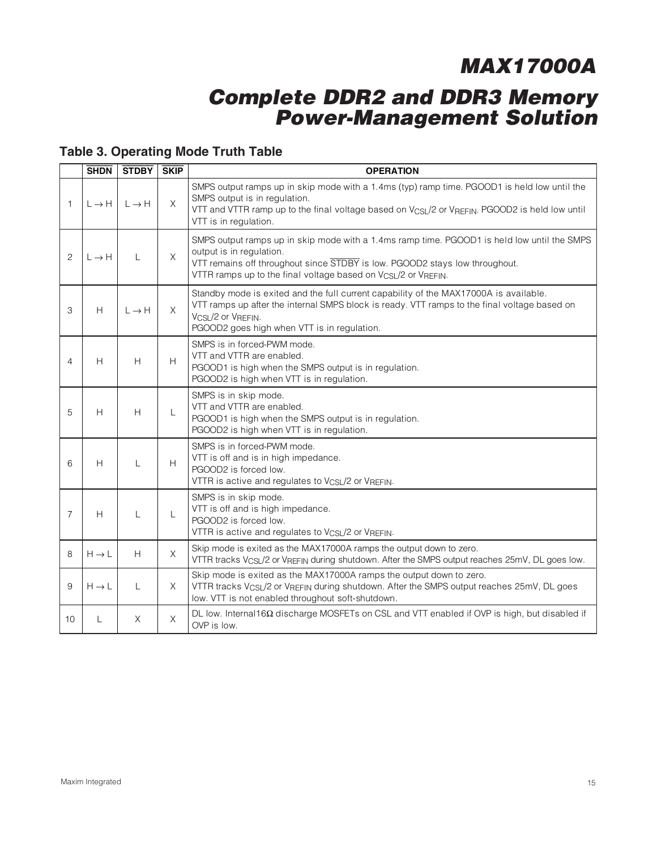### **Complete DDR2 and DDR3 Memory Power-Management Solution**

### **Table 3. Operating Mode Truth Table**

|                | <b>SHDN</b>       | <b>STDBY</b>      | <b>SKIP</b> | <b>OPERATION</b>                                                                                                                                                                                                                                                                     |
|----------------|-------------------|-------------------|-------------|--------------------------------------------------------------------------------------------------------------------------------------------------------------------------------------------------------------------------------------------------------------------------------------|
| $\mathbf{1}$   | $L \rightarrow H$ | $L \rightarrow H$ | X           | SMPS output ramps up in skip mode with a 1.4ms (typ) ramp time. PGOOD1 is held low until the<br>SMPS output is in regulation.<br>VTT and VTTR ramp up to the final voltage based on V <sub>CSL</sub> /2 or V <sub>REFIN</sub> . PGOOD2 is held low until<br>VTT is in regulation.    |
| $\overline{c}$ | $L \rightarrow H$ | L                 | $\times$    | SMPS output ramps up in skip mode with a 1.4ms ramp time. PGOOD1 is held low until the SMPS<br>output is in regulation.<br>VTT remains off throughout since STDBY is low. PGOOD2 stays low throughout.<br>VTTR ramps up to the final voltage based on V <sub>CSL</sub> /2 or VREFIN. |
| 3              | H                 | $L \rightarrow H$ | X.          | Standby mode is exited and the full current capability of the MAX17000A is available.<br>VTT ramps up after the internal SMPS block is ready. VTT ramps to the final voltage based on<br>VCSL/2 or VREFIN.<br>PGOOD2 goes high when VTT is in regulation.                            |
| $\overline{4}$ | H                 | H                 | H           | SMPS is in forced-PWM mode.<br>VTT and VTTR are enabled.<br>PGOOD1 is high when the SMPS output is in regulation.<br>PGOOD2 is high when VTT is in regulation.                                                                                                                       |
| 5              | H                 | H                 | L           | SMPS is in skip mode.<br>VTT and VTTR are enabled.<br>PGOOD1 is high when the SMPS output is in regulation.<br>PGOOD2 is high when VTT is in regulation.                                                                                                                             |
| 6              | H                 | L                 | H           | SMPS is in forced-PWM mode.<br>VTT is off and is in high impedance.<br>PGOOD2 is forced low.<br>VTTR is active and regulates to V <sub>CSL</sub> /2 or VREFIN.                                                                                                                       |
| $\overline{7}$ | H                 | L                 | L           | SMPS is in skip mode.<br>VTT is off and is high impedance.<br>PGOOD2 is forced low.<br>VTTR is active and regulates to V <sub>CSL</sub> /2 or VREFIN.                                                                                                                                |
| 8              | $H \rightarrow L$ | H                 | X           | Skip mode is exited as the MAX17000A ramps the output down to zero.<br>VTTR tracks VcsL/2 or VREFIN during shutdown. After the SMPS output reaches 25mV, DL goes low.                                                                                                                |
| 9              | $H \rightarrow L$ | L                 | X.          | Skip mode is exited as the MAX17000A ramps the output down to zero.<br>VTTR tracks V <sub>CSL</sub> /2 or V <sub>REFIN</sub> during shutdown. After the SMPS output reaches 25mV, DL goes<br>low. VTT is not enabled throughout soft-shutdown.                                       |
| 10             | L                 | X                 | X           | DL low. Internal 16 $\Omega$ discharge MOSFETs on CSL and VTT enabled if OVP is high, but disabled if<br>OVP is low.                                                                                                                                                                 |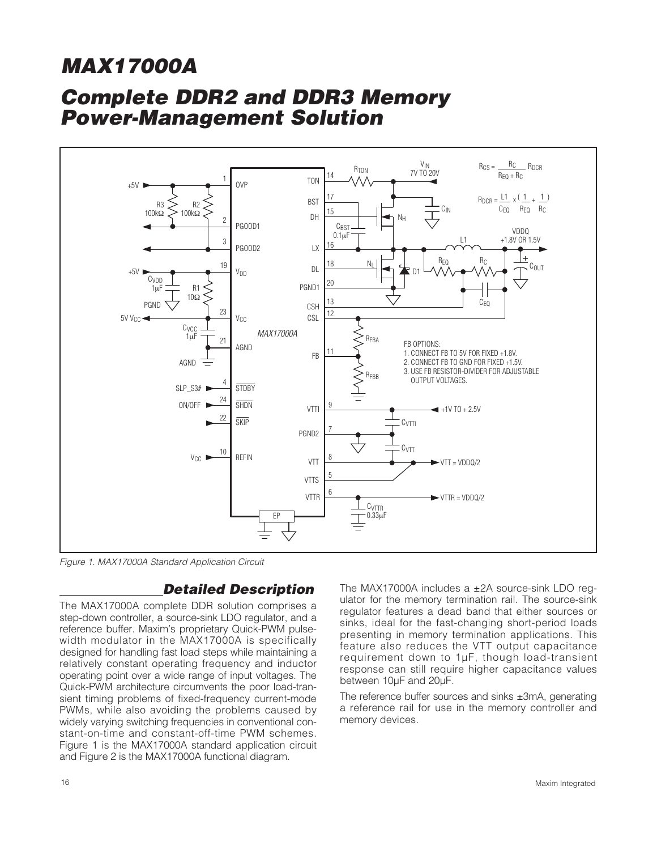## **Complete DDR2 and DDR3 Memory Power-Management Solution**



Figure 1. MAX17000A Standard Application Circuit

### **Detailed Description**

The MAX17000A complete DDR solution comprises a step-down controller, a source-sink LDO regulator, and a reference buffer. Maxim's proprietary Quick-PWM pulsewidth modulator in the MAX17000A is specifically designed for handling fast load steps while maintaining a relatively constant operating frequency and inductor operating point over a wide range of input voltages. The Quick-PWM architecture circumvents the poor load-transient timing problems of fixed-frequency current-mode PWMs, while also avoiding the problems caused by widely varying switching frequencies in conventional constant-on-time and constant-off-time PWM schemes. Figure 1 is the MAX17000A standard application circuit and Figure 2 is the MAX17000A functional diagram.

The MAX17000A includes a ±2A source-sink LDO regulator for the memory termination rail. The source-sink regulator features a dead band that either sources or sinks, ideal for the fast-changing short-period loads presenting in memory termination applications. This feature also reduces the VTT output capacitance requirement down to 1μF, though load-transient response can still require higher capacitance values between 10μF and 20μF.

The reference buffer sources and sinks ±3mA, generating a reference rail for use in the memory controller and memory devices.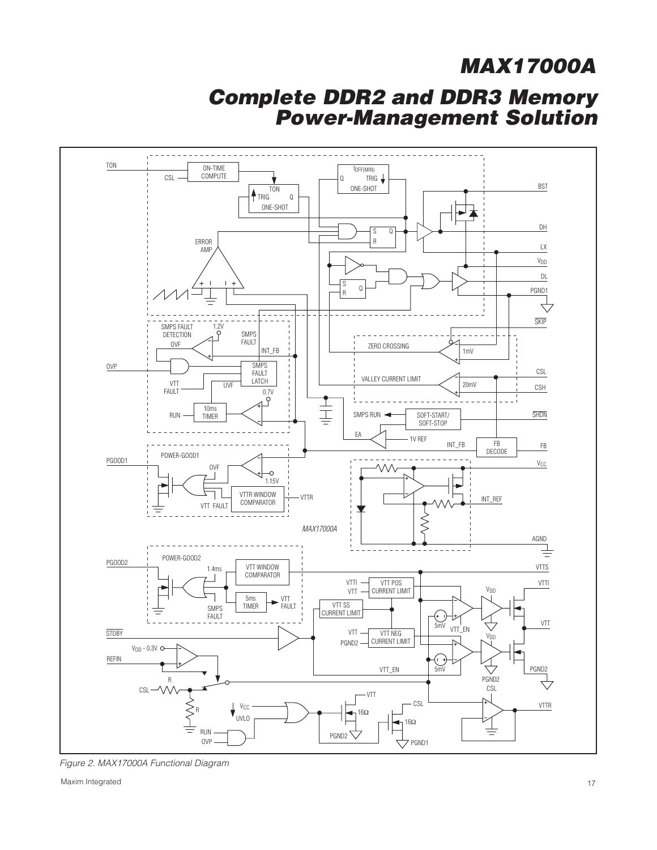### **Complete DDR2 and DDR3 Memory Power-Management Solution**



Figure 2. MAX17000A Functional Diagram

Maxim Integrated 17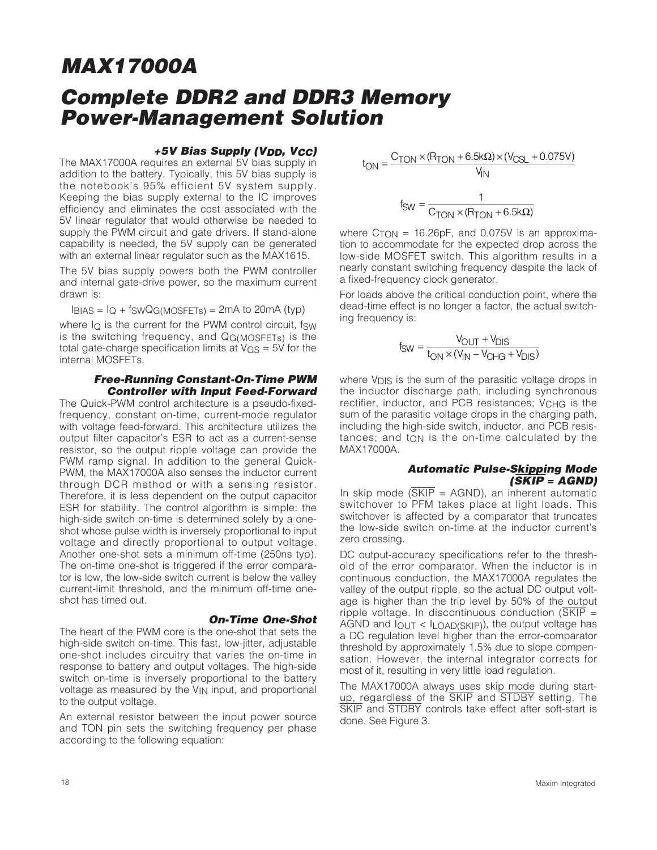#### **+5V Bias Supply (VDD, VCC)**

The MAX17000A requires an external 5V bias supply in addition to the battery. Typically, this 5V bias supply is the notebook's 95% efficient 5V system supply. Keeping the bias supply external to the IC improves efficiency and eliminates the cost associated with the 5V linear regulator that would otherwise be needed to supply the PWM circuit and gate drivers. If stand-alone capability is needed, the 5V supply can be generated with an external linear regulator such as the MAX1615.

The 5V bias supply powers both the PWM controller and internal gate-drive power, so the maximum current drawn is:

 $I_{\text{BIAS}} = I_{\text{Q}} + f_{\text{SWQG(MOSFETS)}} = 2 \text{mA}$  to 20 mA (typ)

where  $I<sub>O</sub>$  is the current for the PWM control circuit, fsw is the switching frequency, and QG(MOSFETs) is the total gate-charge specification limits at  $V_{GS} = 5V$  for the internal MOSFETs.

#### **Free-Running Constant-On-Time PWM Controller with Input Feed-Forward**

The Quick-PWM control architecture is a pseudo-fixedfrequency, constant on-time, current-mode regulator with voltage feed-forward. This architecture utilizes the output filter capacitor's ESR to act as a current-sense resistor, so the output ripple voltage can provide the PWM ramp signal. In addition to the general Quick-PWM, the MAX17000A also senses the inductor current through DCR method or with a sensing resistor. Therefore, it is less dependent on the output capacitor ESR for stability. The control algorithm is simple: the high-side switch on-time is determined solely by a oneshot whose pulse width is inversely proportional to input voltage and directly proportional to output voltage. Another one-shot sets a minimum off-time (250ns typ). The on-time one-shot is triggered if the error comparator is low, the low-side switch current is below the valley current-limit threshold, and the minimum off-time oneshot has timed out.

#### **On-Time One-Shot**

The heart of the PWM core is the one-shot that sets the high-side switch on-time. This fast, low-jitter, adjustable one-shot includes circuitry that varies the on-time in response to battery and output voltages. The high-side switch on-time is inversely proportional to the battery voltage as measured by the V<sub>IN</sub> input, and proportional to the output voltage.

An external resistor between the input power source and TON pin sets the switching frequency per phase according to the following equation:

$$
t_{ON} = \frac{C_{TON} \times (R_{TON} + 6.5k\Omega) \times (V_{CSL} + 0.075V)}{V_{IN}}
$$

$$
t_{SW} = \frac{1}{C_{TON} \times (R_{TON} + 6.5k\Omega)}
$$

where  $C_{TON}$  = 16.26pF, and 0.075V is an approximation to accommodate for the expected drop across the low-side MOSFET switch. This algorithm results in a nearly constant switching frequency despite the lack of a fixed-frequency clock generator.

For loads above the critical conduction point, where the dead-time effect is no longer a factor, the actual switching frequency is:

$$
f_{SW} = \frac{V_{OUT} + V_{DIS}}{t_{ON} \times (V_{IN} - V_{CHG} + V_{DIS})}
$$

where  $V_{\text{DIS}}$  is the sum of the parasitic voltage drops in the inductor discharge path, including synchronous rectifier, inductor, and PCB resistances; VCHG is the sum of the parasitic voltage drops in the charging path, including the high-side switch, inductor, and PCB resis $t$ ances; and  $t_{ON}$  is the on-time calculated by the MAX17000A.

#### **Automatic Pulse-Skipping Mode (**SKIP **= AGND)**

In skip mode  $(SKIP = AGND)$ , an inherent automatic switchover to PFM takes place at light loads. This switchover is affected by a comparator that truncates the low-side switch on-time at the inductor current's zero crossing.

DC output-accuracy specifications refer to the threshold of the error comparator. When the inductor is in continuous conduction, the MAX17000A regulates the valley of the output ripple, so the actual DC output voltage is higher than the trip level by 50% of the output ripple voltage. In discontinuous conduction  $(\overline{\text{SKIP}})$  = AGND and  $I_{\text{OUT}}$  <  $I_{\text{LOAD(SKIP)}}$ , the output voltage has a DC regulation level higher than the error-comparator threshold by approximately 1.5% due to slope compensation. However, the internal integrator corrects for most of it, resulting in very little load regulation.

The MAX17000A always uses skip mode during startup, regardless of the SKIP and STDBY setting. The SKIP and STDBY controls take effect after soft-start is done. See Figure 3.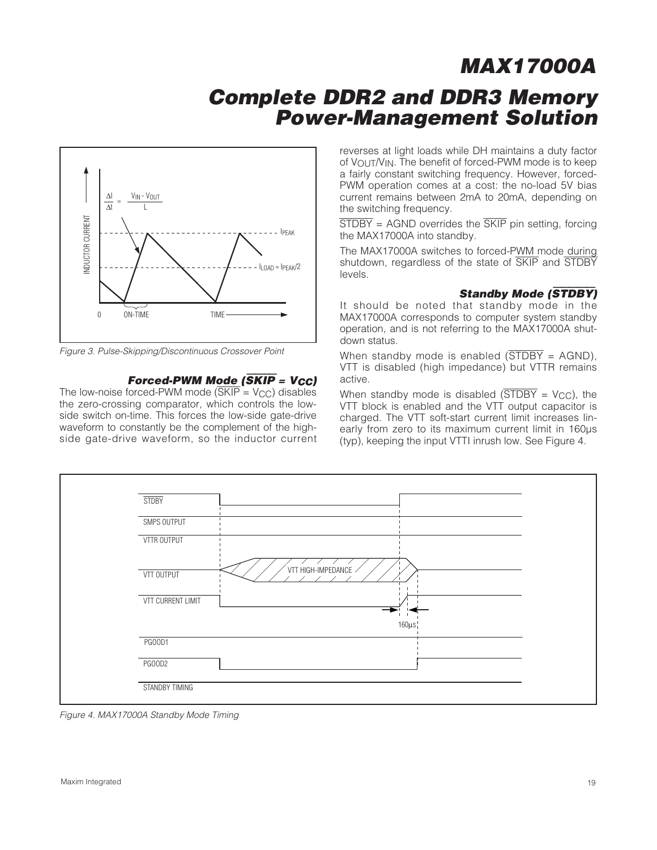### **Complete DDR2 and DDR3 Memory Power-Management Solution**



Figure 3. Pulse-Skipping/Discontinuous Crossover Point

#### **Forced-PWM Mode (**SKIP **= VCC)**

The low-noise forced-PWM mode  $(\overline{\text{SKIP}} = \text{V_{CC}})$  disables the zero-crossing comparator, which controls the lowside switch on-time. This forces the low-side gate-drive waveform to constantly be the complement of the highside gate-drive waveform, so the inductor current reverses at light loads while DH maintains a duty factor of VOUT/VIN. The benefit of forced-PWM mode is to keep a fairly constant switching frequency. However, forced-PWM operation comes at a cost: the no-load 5V bias current remains between 2mA to 20mA, depending on the switching frequency.

 $\overline{\text{STDBY}}$  = AGND overrides the  $\overline{\text{SKIP}}$  pin setting, forcing the MAX17000A into standby.

The MAX17000A switches to forced-PWM mode during shutdown, regardless of the state of SKIP and STDBY levels.

#### **Standby Mode (**STDBY**)**

It should be noted that standby mode in the MAX17000A corresponds to computer system standby operation, and is not referring to the MAX17000A shutdown status.

When standby mode is enabled  $(\overline{STDBY} = AGND)$ , VTT is disabled (high impedance) but VTTR remains active.

When standby mode is disabled  $(\overline{STDBY} = V_{CC})$ , the VTT block is enabled and the VTT output capacitor is charged. The VTT soft-start current limit increases linearly from zero to its maximum current limit in 160μs (typ), keeping the input VTTI inrush low. See Figure 4.



Figure 4. MAX17000A Standby Mode Timing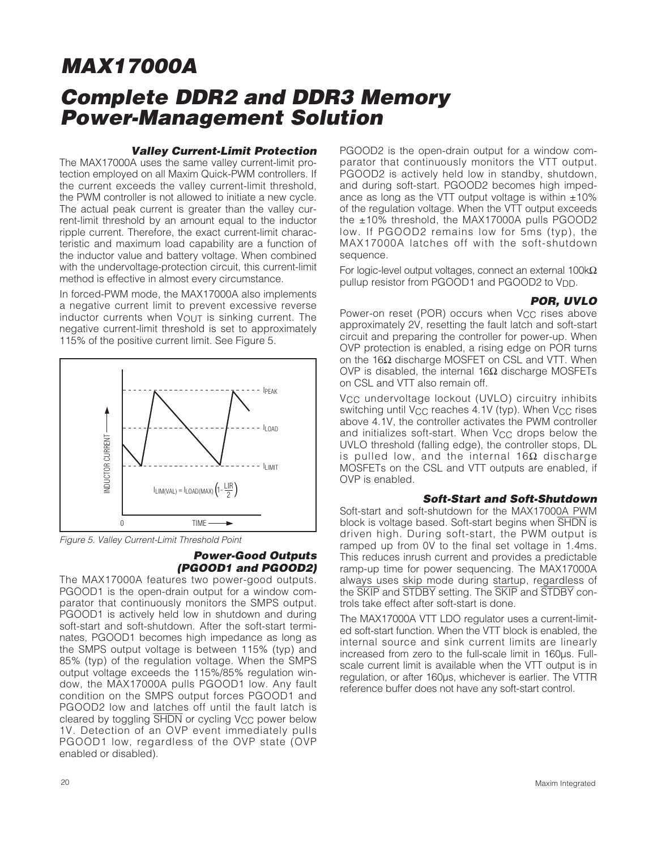#### **Valley Current-Limit Protection**

The MAX17000A uses the same valley current-limit protection employed on all Maxim Quick-PWM controllers. If the current exceeds the valley current-limit threshold, the PWM controller is not allowed to initiate a new cycle. The actual peak current is greater than the valley current-limit threshold by an amount equal to the inductor ripple current. Therefore, the exact current-limit characteristic and maximum load capability are a function of the inductor value and battery voltage. When combined with the undervoltage-protection circuit, this current-limit method is effective in almost every circumstance.

In forced-PWM mode, the MAX17000A also implements a negative current limit to prevent excessive reverse inductor currents when  $V_{\Omega U}T$  is sinking current. The negative current-limit threshold is set to approximately 115% of the positive current limit. See Figure 5.



Figure 5. Valley Current-Limit Threshold Point

#### **Power-Good Outputs (PGOOD1 and PGOOD2)**

The MAX17000A features two power-good outputs. PGOOD1 is the open-drain output for a window comparator that continuously monitors the SMPS output. PGOOD1 is actively held low in shutdown and during soft-start and soft-shutdown. After the soft-start terminates, PGOOD1 becomes high impedance as long as the SMPS output voltage is between 115% (typ) and 85% (typ) of the regulation voltage. When the SMPS output voltage exceeds the 115%/85% regulation window, the MAX17000A pulls PGOOD1 low. Any fault condition on the SMPS output forces PGOOD1 and PGOOD2 low and latches off until the fault latch is cleared by toggling SHDN or cycling V<sub>CC</sub> power below 1V. Detection of an OVP event immediately pulls PGOOD1 low, regardless of the OVP state (OVP enabled or disabled).

PGOOD2 is the open-drain output for a window comparator that continuously monitors the VTT output. PGOOD2 is actively held low in standby, shutdown, and during soft-start. PGOOD2 becomes high impedance as long as the VTT output voltage is within  $\pm 10\%$ of the regulation voltage. When the VTT output exceeds the ±10% threshold, the MAX17000A pulls PGOOD2 low. If PGOOD2 remains low for 5ms (typ), the MAX17000A latches off with the soft-shutdown sequence.

For logic-level output voltages, connect an external 100kΩ pullup resistor from PGOOD1 and PGOOD2 to V<sub>DD</sub>.

#### **POR, UVLO**

Power-on reset (POR) occurs when V<sub>CC</sub> rises above approximately 2V, resetting the fault latch and soft-start circuit and preparing the controller for power-up. When OVP protection is enabled, a rising edge on POR turns on the 16Ω discharge MOSFET on CSL and VTT. When OVP is disabled, the internal  $16Ω$  discharge MOSFETs on CSL and VTT also remain off.

V<sub>CC</sub> undervoltage lockout (UVLO) circuitry inhibits switching until V<sub>CC</sub> reaches 4.1V (typ). When V<sub>CC</sub> rises above 4.1V, the controller activates the PWM controller and initializes soft-start. When  $V_{CC}$  drops below the UVLO threshold (falling edge), the controller stops, DL is pulled low, and the internal 16Ω discharge MOSFETs on the CSL and VTT outputs are enabled, if OVP is enabled.

#### **Soft-Start and Soft-Shutdown**

Soft-start and soft-shutdown for the MAX17000A PWM block is voltage based. Soft-start begins when SHDN is driven high. During soft-start, the PWM output is ramped up from 0V to the final set voltage in 1.4ms. This reduces inrush current and provides a predictable ramp-up time for power sequencing. The MAX17000A always uses skip mode during startup, regardless of the SKIP and STDBY setting. The SKIP and STDBY controls take effect after soft-start is done.

The MAX17000A VTT LDO regulator uses a current-limited soft-start function. When the VTT block is enabled, the internal source and sink current limits are linearly increased from zero to the full-scale limit in 160μs. Fullscale current limit is available when the VTT output is in regulation, or after 160μs, whichever is earlier. The VTTR reference buffer does not have any soft-start control.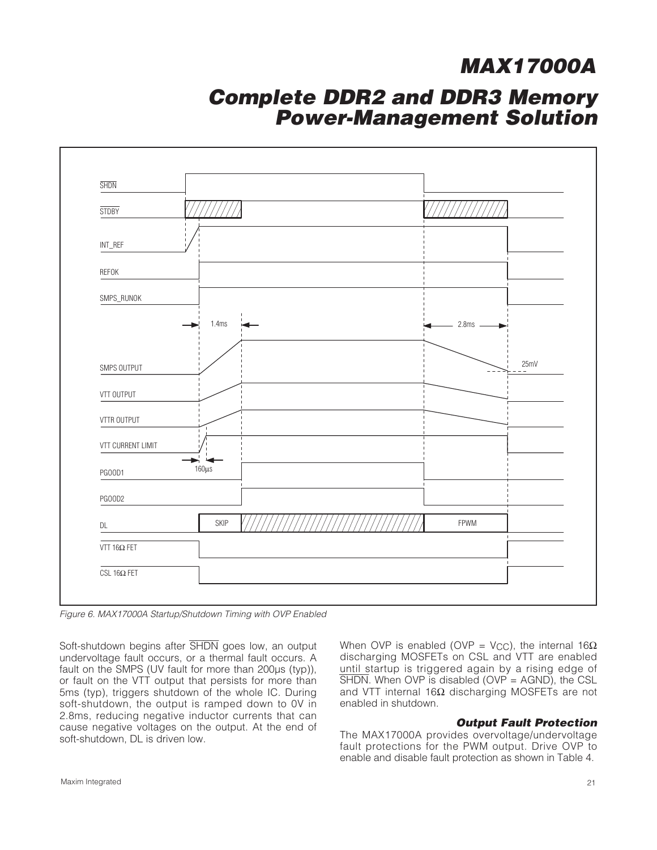### **Complete DDR2 and DDR3 Memory Power-Management Solution**

| <b>SHDN</b>                      |             |               |             |
|----------------------------------|-------------|---------------|-------------|
| <b>STDBY</b>                     |             |               |             |
| $\ensuremath{\mathsf{INT\_REF}}$ |             |               |             |
| REFOK                            |             |               |             |
| SMPS_RUNOK                       |             |               |             |
| 1.4 <sub>ms</sub>                |             | $-$ 2.8ms $-$ |             |
| SMPS OUTPUT                      |             |               | 25mV<br>$-$ |
| VTT OUTPUT                       |             |               |             |
| VTTR OUTPUT                      |             |               |             |
| VTT CURRENT LIMIT                |             |               |             |
| $160\mu s$<br><b>PG00D1</b>      |             |               |             |
| PG00D2                           |             |               |             |
| DL                               | <b>SKIP</b> | FPWM          |             |
| VTT 16 $\Omega$ FET              |             |               |             |
| CSL 16 $\Omega$ FET              |             |               |             |

Figure 6. MAX17000A Startup/Shutdown Timing with OVP Enabled

Soft-shutdown begins after SHDN goes low, an output undervoltage fault occurs, or a thermal fault occurs. A fault on the SMPS (UV fault for more than 200μs (typ)), or fault on the VTT output that persists for more than 5ms (typ), triggers shutdown of the whole IC. During soft-shutdown, the output is ramped down to 0V in 2.8ms, reducing negative inductor currents that can cause negative voltages on the output. At the end of soft-shutdown, DL is driven low.

When OVP is enabled (OVP = V<sub>CC</sub>), the internal 16 $\Omega$ discharging MOSFETs on CSL and VTT are enabled until startup is triggered again by a rising edge of  $\overline{\text{SHDN}}$ . When OVP is disabled (OVP = AGND), the CSL and VTT internal 16Ω discharging MOSFETs are not enabled in shutdown.

#### **Output Fault Protection**

The MAX17000A provides overvoltage/undervoltage fault protections for the PWM output. Drive OVP to enable and disable fault protection as shown in Table 4.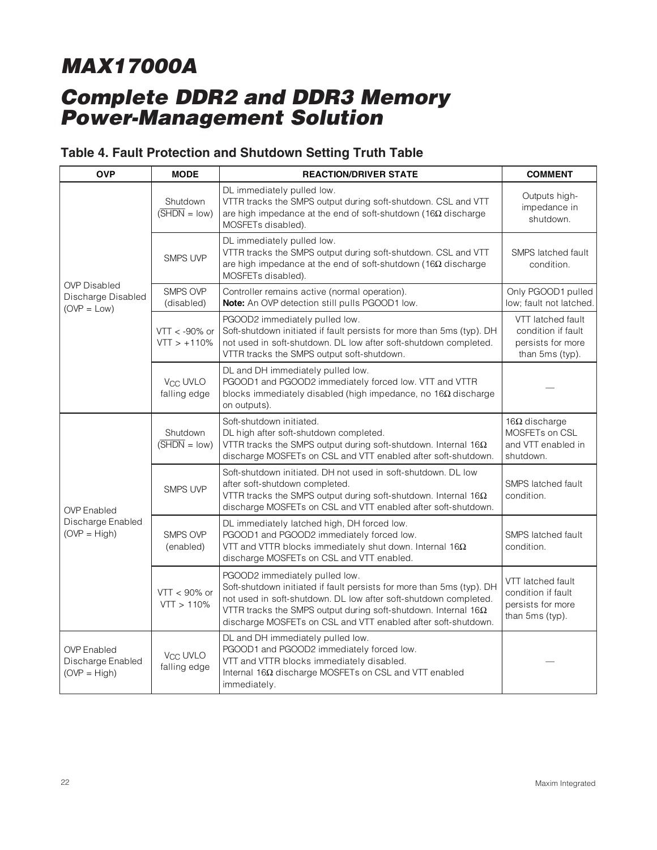## **Complete DDR2 and DDR3 Memory Power-Management Solution**

### **Table 4. Fault Protection and Shutdown Setting Truth Table**

| <b>OVP</b>                                                 | <b>MODE</b>                                         | <b>REACTION/DRIVER STATE</b>                                                                                                                                                                                                                                                                                          | <b>COMMENT</b>                                                                  |
|------------------------------------------------------------|-----------------------------------------------------|-----------------------------------------------------------------------------------------------------------------------------------------------------------------------------------------------------------------------------------------------------------------------------------------------------------------------|---------------------------------------------------------------------------------|
|                                                            | Shutdown<br>$(\overline{\text{SHDN}} = \text{low})$ | DL immediately pulled low.<br>VTTR tracks the SMPS output during soft-shutdown. CSL and VTT<br>are high impedance at the end of soft-shutdown (16 $\Omega$ discharge<br>MOSFETs disabled).                                                                                                                            | Outputs high-<br>impedance in<br>shutdown.                                      |
|                                                            | <b>SMPS UVP</b>                                     | DL immediately pulled low.<br>VTTR tracks the SMPS output during soft-shutdown. CSL and VTT<br>are high impedance at the end of soft-shutdown (16 $\Omega$ discharge<br>MOSFETs disabled).                                                                                                                            | SMPS latched fault<br>condition.                                                |
| <b>OVP Disabled</b><br>Discharge Disabled<br>$(OVP = Low)$ | <b>SMPS OVP</b><br>(disabled)                       | Controller remains active (normal operation).<br>Note: An OVP detection still pulls PGOOD1 low.                                                                                                                                                                                                                       | Only PGOOD1 pulled<br>low; fault not latched.                                   |
|                                                            | $VTT < -90\%$ or<br>$VTT > +110%$                   | PGOOD2 immediately pulled low.<br>Soft-shutdown initiated if fault persists for more than 5ms (typ). DH<br>not used in soft-shutdown. DL low after soft-shutdown completed.<br>VTTR tracks the SMPS output soft-shutdown.                                                                                             | VTT latched fault<br>condition if fault<br>persists for more<br>than 5ms (typ). |
|                                                            | <b>V<sub>CC</sub> UVLO</b><br>falling edge          | DL and DH immediately pulled low.<br>PGOOD1 and PGOOD2 immediately forced low. VTT and VTTR<br>blocks immediately disabled (high impedance, no $16\Omega$ discharge<br>on outputs).                                                                                                                                   |                                                                                 |
|                                                            | Shutdown<br>$(\overline{\text{SHDN}} = \text{low})$ | Soft-shutdown initiated.<br>DL high after soft-shutdown completed.<br>VTTR tracks the SMPS output during soft-shutdown. Internal 16 $\Omega$<br>discharge MOSFETs on CSL and VTT enabled after soft-shutdown.                                                                                                         | 16 $\Omega$ discharge<br>MOSFETs on CSL<br>and VTT enabled in<br>shutdown.      |
| <b>OVP</b> Enabled                                         | <b>SMPS UVP</b>                                     | Soft-shutdown initiated. DH not used in soft-shutdown. DL low<br>after soft-shutdown completed.<br>VTTR tracks the SMPS output during soft-shutdown. Internal 16 $\Omega$<br>discharge MOSFETs on CSL and VTT enabled after soft-shutdown.                                                                            | SMPS latched fault<br>condition.                                                |
| Discharge Enabled<br>$(OVP = High)$                        | <b>SMPS OVP</b><br>(enabled)                        | DL immediately latched high, DH forced low.<br>PGOOD1 and PGOOD2 immediately forced low.<br>VTT and VTTR blocks immediately shut down. Internal $16\Omega$<br>discharge MOSFETs on CSL and VTT enabled.                                                                                                               | SMPS latched fault<br>condition.                                                |
|                                                            | $VTT < 90\%$ or<br>VTT > 110%                       | PGOOD2 immediately pulled low.<br>Soft-shutdown initiated if fault persists for more than 5ms (typ). DH<br>not used in soft-shutdown. DL low after soft-shutdown completed.<br>VTTR tracks the SMPS output during soft-shutdown. Internal $16\Omega$<br>discharge MOSFETs on CSL and VTT enabled after soft-shutdown. | VTT latched fault<br>condition if fault<br>persists for more<br>than 5ms (typ). |
| <b>OVP</b> Enabled<br>Discharge Enabled<br>$(OVP = High)$  | <b>V<sub>CC</sub> UVLO</b><br>falling edge          | DL and DH immediately pulled low.<br>PGOOD1 and PGOOD2 immediately forced low.<br>VTT and VTTR blocks immediately disabled.<br>Internal 16Ω discharge MOSFETs on CSL and VTT enabled<br>immediately.                                                                                                                  |                                                                                 |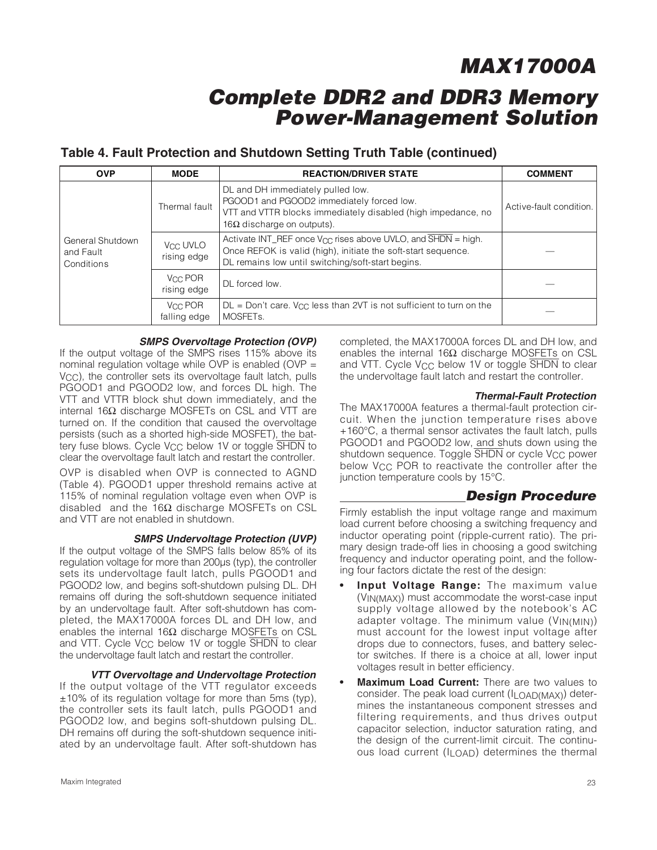### **Complete DDR2 and DDR3 Memory Power-Management Solution**

### **Table 4. Fault Protection and Shutdown Setting Truth Table (continued)**

| <b>OVP</b>                                  | <b>MODE</b>             | <b>REACTION/DRIVER STATE</b>                                                                                                                                                                         | <b>COMMENT</b>          |
|---------------------------------------------|-------------------------|------------------------------------------------------------------------------------------------------------------------------------------------------------------------------------------------------|-------------------------|
|                                             | Thermal fault           | DL and DH immediately pulled low.<br>PGOOD1 and PGOOD2 immediately forced low.<br>VTT and VTTR blocks immediately disabled (high impedance, no<br>16Ω discharge on outputs).                         | Active-fault condition. |
| General Shutdown<br>and Fault<br>Conditions | Vcc UVLO<br>rising edge | Activate INT_REF once $V_{CC}$ rises above UVLO, and $\overline{SHDN}$ = high.<br>Once REFOK is valid (high), initiate the soft-start sequence.<br>DL remains low until switching/soft-start begins. |                         |
|                                             | Vcc POR<br>rising edge  | DL forced low.                                                                                                                                                                                       |                         |
|                                             | Voc POR<br>falling edge | $DL = Don't care.$ V <sub>CC</sub> less than 2VT is not sufficient to turn on the<br>MOSFET <sub>s</sub> .                                                                                           |                         |

#### **SMPS Overvoltage Protection (OVP)**

If the output voltage of the SMPS rises 115% above its nominal regulation voltage while OVP is enabled (OVP = V<sub>CC</sub>), the controller sets its overvoltage fault latch, pulls PGOOD1 and PGOOD2 low, and forces DL high. The VTT and VTTR block shut down immediately, and the internal 16Ω discharge MOSFETs on CSL and VTT are turned on. If the condition that caused the overvoltage persists (such as a shorted high-side MOSFET), the battery fuse blows. Cycle V<sub>CC</sub> below 1V or toggle SHDN to clear the overvoltage fault latch and restart the controller.

OVP is disabled when OVP is connected to AGND (Table 4). PGOOD1 upper threshold remains active at 115% of nominal regulation voltage even when OVP is disabled and the 16Ω discharge MOSFETs on CSL and VTT are not enabled in shutdown.

#### **SMPS Undervoltage Protection (UVP)**

If the output voltage of the SMPS falls below 85% of its regulation voltage for more than 200μs (typ), the controller sets its undervoltage fault latch, pulls PGOOD1 and PGOOD2 low, and begins soft-shutdown pulsing DL. DH remains off during the soft-shutdown sequence initiated by an undervoltage fault. After soft-shutdown has completed, the MAX17000A forces DL and DH low, and enables the internal 16 $\Omega$  discharge MOSFETs on CSL and VTT. Cycle  $V_{CC}$  below 1V or toggle  $\overline{SHDN}$  to clear the undervoltage fault latch and restart the controller.

#### **VTT Overvoltage and Undervoltage Protection**

If the output voltage of the VTT regulator exceeds ±10% of its regulation voltage for more than 5ms (typ), the controller sets its fault latch, pulls PGOOD1 and PGOOD2 low, and begins soft-shutdown pulsing DL. DH remains off during the soft-shutdown sequence initiated by an undervoltage fault. After soft-shutdown has completed, the MAX17000A forces DL and DH low, and enables the internal 16Ω discharge MOSFETs on CSL and VTT. Cycle V<sub>CC</sub> below 1V or toggle SHDN to clear the undervoltage fault latch and restart the controller.

#### **Thermal-Fault Protection**

The MAX17000A features a thermal-fault protection circuit. When the junction temperature rises above +160°C, a thermal sensor activates the fault latch, pulls PGOOD1 and PGOOD2 low, and shuts down using the shutdown sequence. Toggle SHDN or cycle V<sub>CC</sub> power below V<sub>CC</sub> POR to reactivate the controller after the junction temperature cools by 15°C.

### **Design Procedure**

Firmly establish the input voltage range and maximum load current before choosing a switching frequency and inductor operating point (ripple-current ratio). The primary design trade-off lies in choosing a good switching frequency and inductor operating point, and the following four factors dictate the rest of the design:

- **Input Voltage Range:** The maximum value (VIN(MAX)) must accommodate the worst-case input supply voltage allowed by the notebook's AC adapter voltage. The minimum value (VIN(MIN)) must account for the lowest input voltage after drops due to connectors, fuses, and battery selector switches. If there is a choice at all, lower input voltages result in better efficiency.
- **Maximum Load Current:** There are two values to consider. The peak load current (ILOAD(MAX)) determines the instantaneous component stresses and filtering requirements, and thus drives output capacitor selection, inductor saturation rating, and the design of the current-limit circuit. The continuous load current (ILOAD) determines the thermal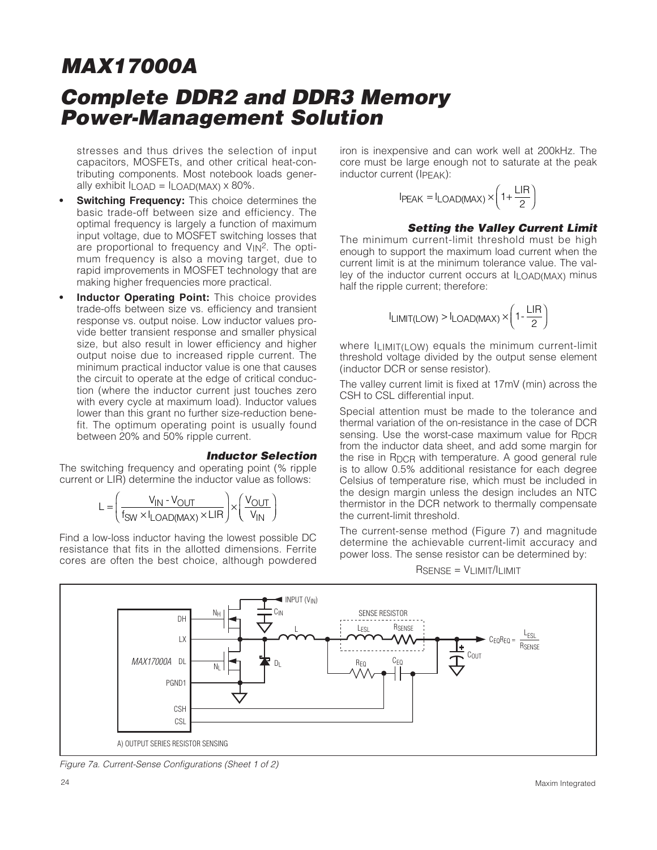stresses and thus drives the selection of input capacitors, MOSFETs, and other critical heat-contributing components. Most notebook loads generally exhibit  $I_{LOAD} = I_{LOAD(MAX)} \times 80\%$ .

- **Switching Frequency:** This choice determines the basic trade-off between size and efficiency. The optimal frequency is largely a function of maximum input voltage, due to MOSFET switching losses that are proportional to frequency and  $V_{1N}^2$ . The optimum frequency is also a moving target, due to rapid improvements in MOSFET technology that are making higher frequencies more practical.
- **Inductor Operating Point:** This choice provides trade-offs between size vs. efficiency and transient response vs. output noise. Low inductor values provide better transient response and smaller physical size, but also result in lower efficiency and higher output noise due to increased ripple current. The minimum practical inductor value is one that causes the circuit to operate at the edge of critical conduction (where the inductor current just touches zero with every cycle at maximum load). Inductor values lower than this grant no further size-reduction benefit. The optimum operating point is usually found between 20% and 50% ripple current.

#### **Inductor Selection**

The switching frequency and operating point (% ripple current or LIR) determine the inductor value as follows:

$$
L = \left(\frac{V_{IN} \cdot V_{OUT}}{f_{SW} \times I_{LOAD(MAX)} \times LIR}\right) \times \left(\frac{V_{OUT}}{V_{IN}}\right)
$$

Find a low-loss inductor having the lowest possible DC resistance that fits in the allotted dimensions. Ferrite cores are often the best choice, although powdered iron is inexpensive and can work well at 200kHz. The core must be large enough not to saturate at the peak inductor current (IPEAK):

$$
I_{PEAK} = I_{LOAD(MAX)} \times \left(1 + \frac{LIR}{2}\right)
$$

#### **Setting the Valley Current Limit**

The minimum current-limit threshold must be high enough to support the maximum load current when the current limit is at the minimum tolerance value. The valley of the inductor current occurs at  $I_{\text{LOAD}(\text{MAX})}$  minus half the ripple current; therefore:

$$
I_{LIMIT(LOW)} > I_{LOAD(MAX)} \times \left(1 - \frac{LIR}{2}\right)
$$

where  $\ln \frac{M}{L}$  ow equals the minimum current-limit threshold voltage divided by the output sense element (inductor DCR or sense resistor).

The valley current limit is fixed at 17mV (min) across the CSH to CSL differential input.

Special attention must be made to the tolerance and thermal variation of the on-resistance in the case of DCR sensing. Use the worst-case maximum value for  $R_{DCR}$ from the inductor data sheet, and add some margin for the rise in RDCR with temperature. A good general rule is to allow 0.5% additional resistance for each degree Celsius of temperature rise, which must be included in the design margin unless the design includes an NTC thermistor in the DCR network to thermally compensate the current-limit threshold.

The current-sense method (Figure 7) and magnitude determine the achievable current-limit accuracy and power loss. The sense resistor can be determined by:

 $R$ SENSE =  $V$ LIMIT/ILIMIT



Figure 7a. Current-Sense Configurations (Sheet 1 of 2)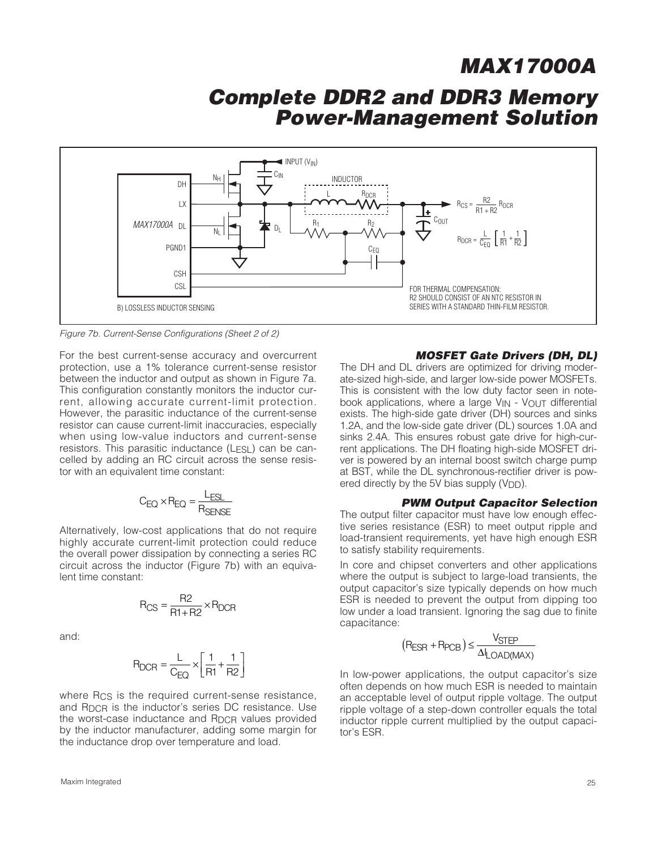### **Complete DDR2 and DDR3 Memory Power-Management Solution**



Figure 7b. Current-Sense Configurations (Sheet 2 of 2)

For the best current-sense accuracy and overcurrent protection, use a 1% tolerance current-sense resistor between the inductor and output as shown in Figure 7a. This configuration constantly monitors the inductor current, allowing accurate current-limit protection. However, the parasitic inductance of the current-sense resistor can cause current-limit inaccuracies, especially when using low-value inductors and current-sense resistors. This parasitic inductance (LESL) can be cancelled by adding an RC circuit across the sense resistor with an equivalent time constant:

$$
C_{EQ} \times R_{EQ} = \frac{L_{ESL}}{R_{SENSE}}
$$

Alternatively, low-cost applications that do not require highly accurate current-limit protection could reduce the overall power dissipation by connecting a series RC circuit across the inductor (Figure 7b) with an equivalent time constant:

$$
R_{CS} = \frac{R2}{R1 + R2} \times R_{DCR}
$$

and:

$$
R_{DCR} = \frac{L}{C_{EQ}} \times \left[ \frac{1}{R1} + \frac{1}{R2} \right]
$$
  
In low-power applications, the output can

where R<sub>CS</sub> is the required current-sense resistance, and R<sub>DCR</sub> is the inductor's series DC resistance. Use the worst-case inductance and R<sub>DCR</sub> values provided by the inductor manufacturer, adding some margin for the inductance drop over temperature and load.

#### **MOSFET Gate Drivers (DH, DL)**

The DH and DL drivers are optimized for driving moderate-sized high-side, and larger low-side power MOSFETs. This is consistent with the low duty factor seen in notebook applications, where a large  $V_{IN}$  -  $V_{OUT}$  differential exists. The high-side gate driver (DH) sources and sinks 1.2A, and the low-side gate driver (DL) sources 1.0A and sinks 2.4A. This ensures robust gate drive for high-current applications. The DH floating high-side MOSFET driver is powered by an internal boost switch charge pump at BST, while the DL synchronous-rectifier driver is powered directly by the 5V bias supply (V<sub>DD</sub>).

#### **PWM Output Capacitor Selection**

The output filter capacitor must have low enough effective series resistance (ESR) to meet output ripple and load-transient requirements, yet have high enough ESR to satisfy stability requirements.

In core and chipset converters and other applications where the output is subject to large-load transients, the output capacitor's size typically depends on how much ESR is needed to prevent the output from dipping too low under a load transient. Ignoring the sag due to finite capacitance:

$$
(R_{ESR} + R_{PCB}) \leq \frac{V_{STEP}}{\Delta I_{LOAD(MAX)}}
$$

In low-power applications, the output capacitor's size often depends on how much ESR is needed to maintain an acceptable level of output ripple voltage. The output ripple voltage of a step-down controller equals the total inductor ripple current multiplied by the output capacitor's ESR.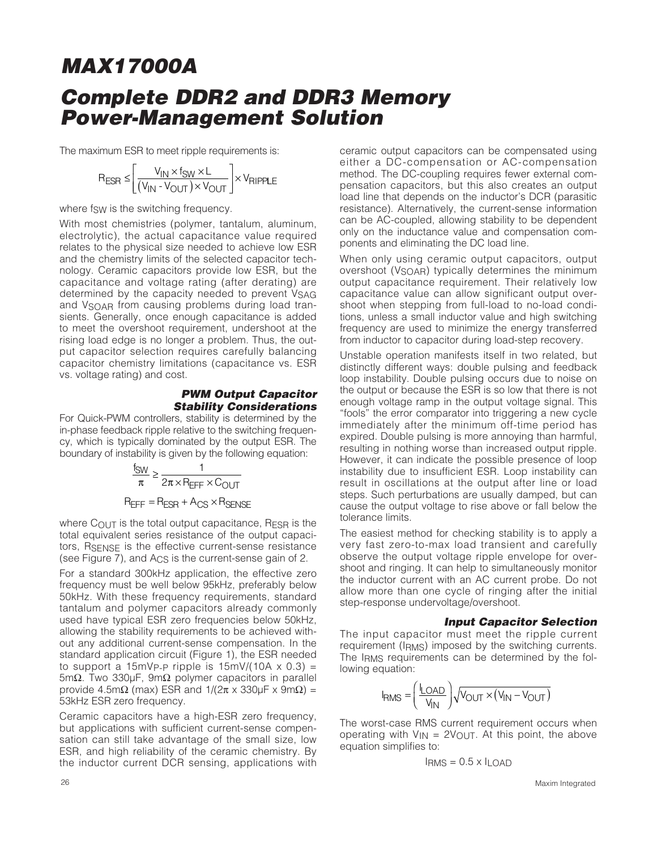The maximum ESR to meet ripple requirements is:

$$
R_{ESR} \leq \left[ \frac{V_{IN} \times f_{SW} \times L}{(V_{IN} - V_{OUT}) \times V_{OUT}} \right] \times V_{RIPPLE}
$$

where fsw is the switching frequency.

With most chemistries (polymer, tantalum, aluminum, electrolytic), the actual capacitance value required relates to the physical size needed to achieve low ESR and the chemistry limits of the selected capacitor technology. Ceramic capacitors provide low ESR, but the capacitance and voltage rating (after derating) are determined by the capacity needed to prevent VSAG and V<sub>SOAR</sub> from causing problems during load transients. Generally, once enough capacitance is added to meet the overshoot requirement, undershoot at the rising load edge is no longer a problem. Thus, the output capacitor selection requires carefully balancing capacitor chemistry limitations (capacitance vs. ESR vs. voltage rating) and cost.

#### **PWM Output Capacitor Stability Considerations**

For Quick-PWM controllers, stability is determined by the in-phase feedback ripple relative to the switching frequency, which is typically dominated by the output ESR. The boundary of instability is given by the following equation:

$$
\frac{f_{SW}}{\pi} \ge \frac{1}{2\pi \times R_{EFF} \times C_{OUT}}
$$
  
R\_{EFF} = R\_{ESR} + A\_{CS} \times R\_{SENSE}

where C<sub>OUT</sub> is the total output capacitance, R<sub>ESR</sub> is the total equivalent series resistance of the output capacitors, RSENSE is the effective current-sense resistance (see Figure 7), and ACS is the current-sense gain of 2.

For a standard 300kHz application, the effective zero frequency must be well below 95kHz, preferably below 50kHz. With these frequency requirements, standard tantalum and polymer capacitors already commonly used have typical ESR zero frequencies below 50kHz, allowing the stability requirements to be achieved without any additional current-sense compensation. In the standard application circuit (Figure 1), the ESR needed to support a 15mV<sub>P-P</sub> ripple is 15mV/(10A  $\times$  0.3) = 5mΩ. Two 330μF, 9mΩ polymer capacitors in parallel provide 4.5m $\Omega$  (max) ESR and  $1/(2π \times 330μ$ F x 9m $\Omega$ ) = 53kHz ESR zero frequency.

Ceramic capacitors have a high-ESR zero frequency, but applications with sufficient current-sense compensation can still take advantage of the small size, low ESR, and high reliability of the ceramic chemistry. By the inductor current DCR sensing, applications with ceramic output capacitors can be compensated using either a DC-compensation or AC-compensation method. The DC-coupling requires fewer external compensation capacitors, but this also creates an output load line that depends on the inductor's DCR (parasitic resistance). Alternatively, the current-sense information can be AC-coupled, allowing stability to be dependent only on the inductance value and compensation components and eliminating the DC load line.

When only using ceramic output capacitors, output overshoot (V<sub>SOAR</sub>) typically determines the minimum output capacitance requirement. Their relatively low capacitance value can allow significant output overshoot when stepping from full-load to no-load conditions, unless a small inductor value and high switching frequency are used to minimize the energy transferred from inductor to capacitor during load-step recovery.

Unstable operation manifests itself in two related, but distinctly different ways: double pulsing and feedback loop instability. Double pulsing occurs due to noise on the output or because the ESR is so low that there is not enough voltage ramp in the output voltage signal. This "fools" the error comparator into triggering a new cycle immediately after the minimum off-time period has expired. Double pulsing is more annoying than harmful, resulting in nothing worse than increased output ripple. However, it can indicate the possible presence of loop instability due to insufficient ESR. Loop instability can result in oscillations at the output after line or load steps. Such perturbations are usually damped, but can cause the output voltage to rise above or fall below the tolerance limits.

The easiest method for checking stability is to apply a very fast zero-to-max load transient and carefully observe the output voltage ripple envelope for overshoot and ringing. It can help to simultaneously monitor the inductor current with an AC current probe. Do not allow more than one cycle of ringing after the initial step-response undervoltage/overshoot.

#### **Input Capacitor Selection**

The input capacitor must meet the ripple current requirement (IRMS) imposed by the switching currents. The IRMS requirements can be determined by the following equation:

$$
I_{RMS} = \left(\frac{I_{LOAD}}{V_{IN}}\right)\sqrt{V_{OUT} \times (V_{IN} - V_{OUT})}
$$

The worst-case RMS current requirement occurs when operating with  $V_{IN} = 2V_{OUT}$ . At this point, the above equation simplifies to:

$$
I_{RMS} = 0.5 \times I_{LOAD}
$$

26 Maxim Integrated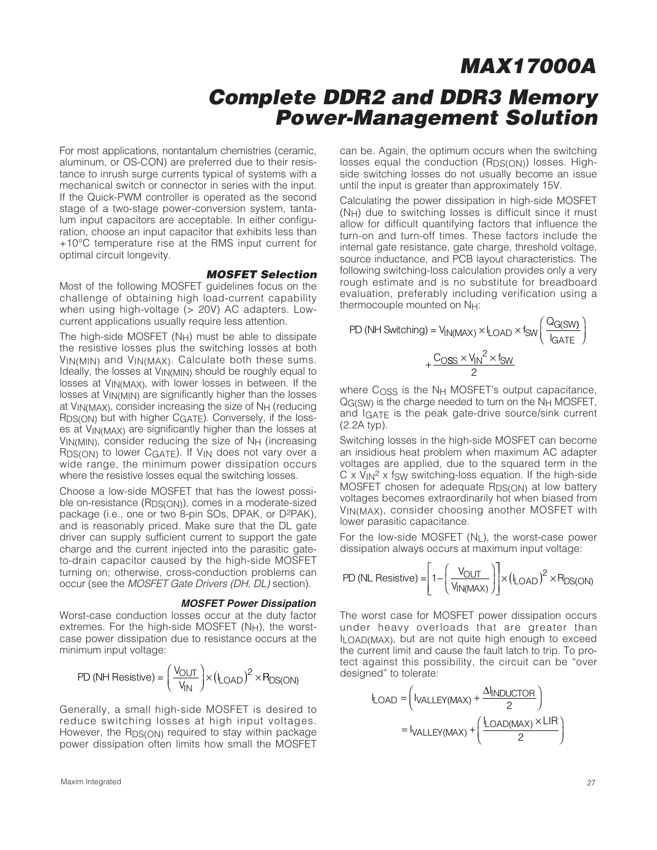For most applications, nontantalum chemistries (ceramic, aluminum, or OS-CON) are preferred due to their resistance to inrush surge currents typical of systems with a mechanical switch or connector in series with the input. If the Quick-PWM controller is operated as the second stage of a two-stage power-conversion system, tantalum input capacitors are acceptable. In either configuration, choose an input capacitor that exhibits less than +10°C temperature rise at the RMS input current for optimal circuit longevity.

#### **MOSFET Selection**

Most of the following MOSFET guidelines focus on the challenge of obtaining high load-current capability when using high-voltage (> 20V) AC adapters. Lowcurrent applications usually require less attention.

The high-side MOSFET  $(N_H)$  must be able to dissipate the resistive losses plus the switching losses at both VIN(MIN) and VIN(MAX). Calculate both these sums. Ideally, the losses at VIN(MIN) should be roughly equal to losses at VIN(MAX), with lower losses in between. If the losses at VIN(MIN) are significantly higher than the losses at VIN(MAX), consider increasing the size of NH (reducing RDS(ON) but with higher CGATE). Conversely, if the losses at VIN(MAX) are significantly higher than the losses at VIN(MIN), consider reducing the size of NH (increasing RDS(ON) to lower CGATE). If V<sub>IN</sub> does not vary over a wide range, the minimum power dissipation occurs where the resistive losses equal the switching losses.

Choose a low-side MOSFET that has the lowest possible on-resistance (RDS(ON)), comes in a moderate-sized package (i.e., one or two 8-pin SOs, DPAK, or D2PAK), and is reasonably priced. Make sure that the DL gate driver can supply sufficient current to support the gate charge and the current injected into the parasitic gateto-drain capacitor caused by the high-side MOSFET turning on; otherwise, cross-conduction problems can occur (see the MOSFET Gate Drivers (DH, DL) section).

#### **MOSFET Power Dissipation**

Worst-case conduction losses occur at the duty factor extremes. For the high-side MOSFET  $(N_H)$ , the worstcase power dissipation due to resistance occurs at the minimum input voltage:

$$
\text{PD (NH Resistance)} = \left(\frac{V_{\text{OUT}}}{V_{\text{IN}}}\right) \times \left(I_{\text{LOAD}}\right)^2 \times P_{\text{DS(ON)}}
$$

Generally, a small high-side MOSFET is desired to reduce switching losses at high input voltages. However, the R<sub>DS(ON)</sub> required to stay within package power dissipation often limits how small the MOSFET

Maxim Integrated 27

can be. Again, the optimum occurs when the switching losses equal the conduction (R<sub>DS(ON)</sub>) losses. Highside switching losses do not usually become an issue until the input is greater than approximately 15V.

Calculating the power dissipation in high-side MOSFET (NH) due to switching losses is difficult since it must allow for difficult quantifying factors that influence the turn-on and turn-off times. These factors include the internal gate resistance, gate charge, threshold voltage, source inductance, and PCB layout characteristics. The following switching-loss calculation provides only a very rough estimate and is no substitute for breadboard evaluation, preferably including verification using a thermocouple mounted on NH:

PD (NH Switching) = 
$$
V_{IN(MAX)} \times I_{LOAD} \times f_{SW} \left( \frac{Q_{G(SW)}}{I_{GATE}} \right)
$$
  
+  $\frac{C_{OSS} \times V_{IN}^2 \times f_{SW}}{2}$ 

where  $C<sub>OSS</sub>$  is the N<sub>H</sub> MOSFET's output capacitance,  $QG(SW)$  is the charge needed to turn on the  $N_H$  MOSFET, and IGATE is the peak gate-drive source/sink current (2.2A typ).

Switching losses in the high-side MOSFET can become an insidious heat problem when maximum AC adapter voltages are applied, due to the squared term in the  $C \times V_{\text{IN}}^2 \times f_{\text{SW}}$  switching-loss equation. If the high-side MOSFET chosen for adequate R<sub>DS(ON)</sub> at low battery voltages becomes extraordinarily hot when biased from VIN(MAX), consider choosing another MOSFET with lower parasitic capacitance.

For the low-side MOSFET (NL), the worst-case power dissipation always occurs at maximum input voltage:

$$
PD(NL \text{ Resistance}) = \left[1 - \left(\frac{V_{OUT}}{V_{IN(MAX)}}\right)\right] \times (I_{LOAD})^2 \times R_{DS(ON)}
$$

The worst case for MOSFET power dissipation occurs under heavy overloads that are greater than ILOAD(MAX), but are not quite high enough to exceed the current limit and cause the fault latch to trip. To protect against this possibility, the circuit can be "over designed" to tolerate:

$$
I_{LOAD} = \left(I_{VALLEY(MAX)} + \frac{\Delta I_{INDUCTOR}}{2}\right)
$$

$$
= I_{VALLEY(MAX)} + \left(\frac{I_{LOAD(MAX)} \times LIR}{2}\right)
$$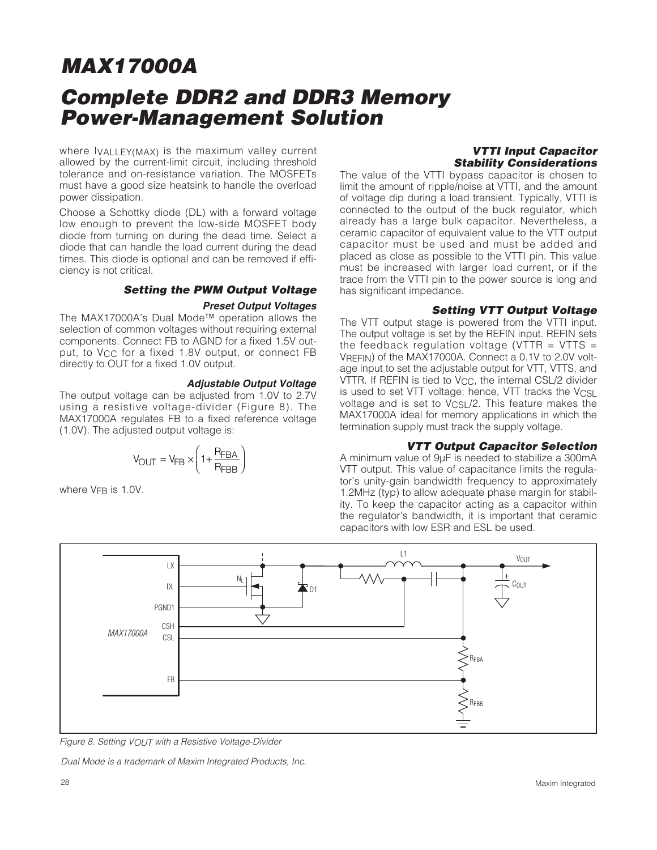where IVALLEY(MAX) is the maximum valley current allowed by the current-limit circuit, including threshold tolerance and on-resistance variation. The MOSFETs must have a good size heatsink to handle the overload power dissipation.

Choose a Schottky diode (DL) with a forward voltage low enough to prevent the low-side MOSFET body diode from turning on during the dead time. Select a diode that can handle the load current during the dead times. This diode is optional and can be removed if efficiency is not critical.

#### **Setting the PWM Output Voltage**

#### **Preset Output Voltages**

The MAX17000A's Dual Mode™ operation allows the selection of common voltages without requiring external components. Connect FB to AGND for a fixed 1.5V output, to V<sub>CC</sub> for a fixed 1.8V output, or connect FB directly to OUT for a fixed 1.0V output.

#### **Adjustable Output Voltage**

The output voltage can be adjusted from 1.0V to 2.7V using a resistive voltage-divider (Figure 8). The MAX17000A regulates FB to a fixed reference voltage (1.0V). The adjusted output voltage is:

$$
V_{\text{OUT}} = V_{\text{FB}} \times \left(1 + \frac{R_{\text{FBA}}}{R_{\text{FBB}}}\right)
$$

where V<sub>FB</sub> is 1.0V.

#### **VTTI Input Capacitor Stability Considerations**

The value of the VTTI bypass capacitor is chosen to limit the amount of ripple/noise at VTTI, and the amount of voltage dip during a load transient. Typically, VTTI is connected to the output of the buck regulator, which already has a large bulk capacitor. Nevertheless, a ceramic capacitor of equivalent value to the VTT output capacitor must be used and must be added and placed as close as possible to the VTTI pin. This value must be increased with larger load current, or if the trace from the VTTI pin to the power source is long and has significant impedance.

#### **Setting VTT Output Voltage**

The VTT output stage is powered from the VTTI input. The output voltage is set by the REFIN input. REFIN sets the feedback regulation voltage (VTTR  $=$  VTTS  $=$ VREFIN) of the MAX17000A. Connect a 0.1V to 2.0V voltage input to set the adjustable output for VTT, VTTS, and VTTR. If REFIN is tied to V<sub>CC</sub>, the internal CSL/2 divider is used to set VTT voltage; hence, VTT tracks the  $V_{CSL}$ voltage and is set to V<sub>CSL</sub>/2. This feature makes the MAX17000A ideal for memory applications in which the termination supply must track the supply voltage.

#### **VTT Output Capacitor Selection**

A minimum value of 9μF is needed to stabilize a 300mA VTT output. This value of capacitance limits the regulator's unity-gain bandwidth frequency to approximately 1.2MHz (typ) to allow adequate phase margin for stability. To keep the capacitor acting as a capacitor within the regulator's bandwidth, it is important that ceramic capacitors with low ESR and ESL be used.



Figure 8. Setting VOUT with a Resistive Voltage-Divider

Dual Mode is a trademark of Maxim Integrated Products, Inc.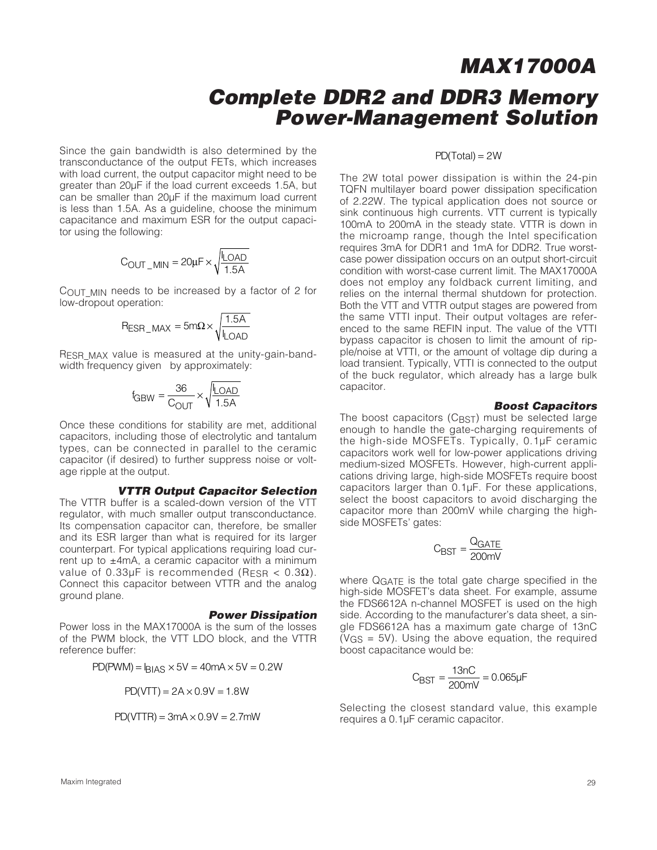Since the gain bandwidth is also determined by the transconductance of the output FETs, which increases with load current, the output capacitor might need to be greater than 20μF if the load current exceeds 1.5A, but can be smaller than 20μF if the maximum load current is less than 1.5A. As a guideline, choose the minimum capacitance and maximum ESR for the output capacitor using the following:

$$
C_{OUT\_MIN} = 20 \mu F \times \sqrt{\frac{I_{LOAD}}{1.5 A}}
$$

COUT MIN needs to be increased by a factor of 2 for low-dropout operation:

$$
R_{ESR\_MAX} = 5m\Omega \times \sqrt{\frac{1.5A}{L_{OAD}}}
$$

RESR MAX value is measured at the unity-gain-bandwidth frequency given by approximately:

$$
f_{GBW} = \frac{36}{C_{OUT}} \times \sqrt{\frac{I_{LOAD}}{1.5A}}
$$

Once these conditions for stability are met, additional capacitors, including those of electrolytic and tantalum types, can be connected in parallel to the ceramic capacitor (if desired) to further suppress noise or voltage ripple at the output.

#### **VTTR Output Capacitor Selection**

The VTTR buffer is a scaled-down version of the VTT regulator, with much smaller output transconductance. Its compensation capacitor can, therefore, be smaller and its ESR larger than what is required for its larger counterpart. For typical applications requiring load current up to  $\pm$ 4mA, a ceramic capacitor with a minimum value of 0.33µF is recommended (RESR <  $0.3\Omega$ ). Connect this capacitor between VTTR and the analog ground plane.

#### **Power Dissipation**

Power loss in the MAX17000A is the sum of the losses of the PWM block, the VTT LDO block, and the VTTR reference buffer:

$$
PD(PWM) = I_{BIAS} \times 5V = 40mA \times 5V = 0.2W
$$

 $PD(VTT) = 2A \times 0.9V = 1.8W$ 

$$
PD(VTTR) = 3mA \times 0.9V = 2.7mW
$$

#### $PD(Total) = 2W$

The 2W total power dissipation is within the 24-pin TQFN multilayer board power dissipation specification of 2.22W. The typical application does not source or sink continuous high currents. VTT current is typically 100mA to 200mA in the steady state. VTTR is down in the microamp range, though the Intel specification requires 3mA for DDR1 and 1mA for DDR2. True worstcase power dissipation occurs on an output short-circuit condition with worst-case current limit. The MAX17000A does not employ any foldback current limiting, and relies on the internal thermal shutdown for protection. Both the VTT and VTTR output stages are powered from the same VTTI input. Their output voltages are referenced to the same REFIN input. The value of the VTTI bypass capacitor is chosen to limit the amount of ripple/noise at VTTI, or the amount of voltage dip during a load transient. Typically, VTTI is connected to the output of the buck regulator, which already has a large bulk capacitor.

#### **Boost Capacitors**

The boost capacitors (CBST) must be selected large enough to handle the gate-charging requirements of the high-side MOSFETs. Typically, 0.1μF ceramic capacitors work well for low-power applications driving medium-sized MOSFETs. However, high-current applications driving large, high-side MOSFETs require boost capacitors larger than 0.1μF. For these applications, select the boost capacitors to avoid discharging the capacitor more than 200mV while charging the highside MOSFETs' gates:

$$
C_{\text{BST}} = \frac{Q_{\text{GATE}}}{200 \text{mV}}
$$

where QGATE is the total gate charge specified in the high-side MOSFET's data sheet. For example, assume the FDS6612A n-channel MOSFET is used on the high side. According to the manufacturer's data sheet, a single FDS6612A has a maximum gate charge of 13nC  $(VGS = 5V)$ . Using the above equation, the required boost capacitance would be:

$$
C_{\text{BST}} = \frac{13nC}{200mV} = 0.065\mu\text{F}
$$

Selecting the closest standard value, this example requires a 0.1μF ceramic capacitor.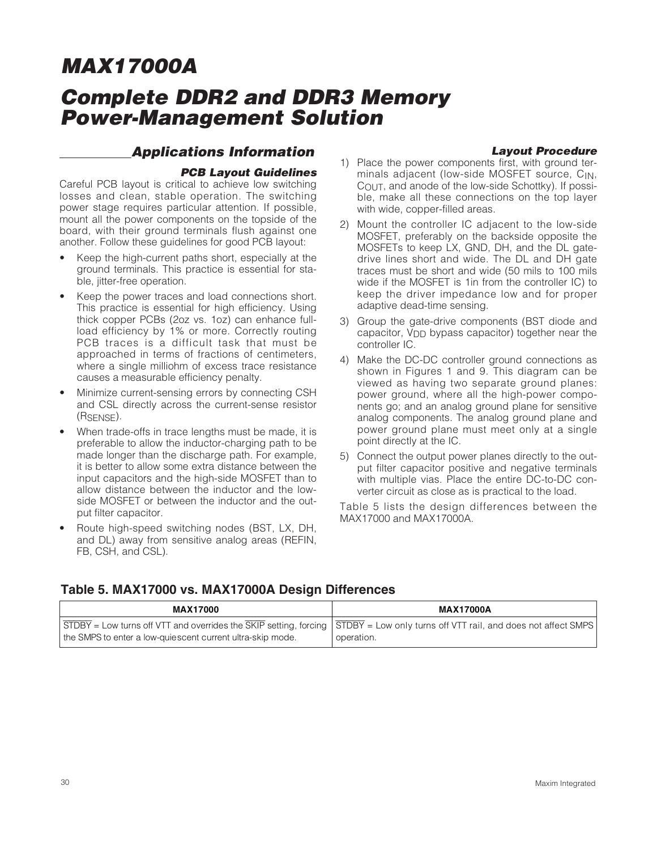## **Complete DDR2 and DDR3 Memory Power-Management Solution**

### **Applications Information**

### **Layout Procedure**

#### **PCB Layout Guidelines**

Careful PCB layout is critical to achieve low switching losses and clean, stable operation. The switching power stage requires particular attention. If possible, mount all the power components on the topside of the board, with their ground terminals flush against one another. Follow these guidelines for good PCB layout:

- Keep the high-current paths short, especially at the ground terminals. This practice is essential for stable, jitter-free operation.
- Keep the power traces and load connections short. This practice is essential for high efficiency. Using thick copper PCBs (2oz vs. 1oz) can enhance fullload efficiency by 1% or more. Correctly routing PCB traces is a difficult task that must be approached in terms of fractions of centimeters, where a single milliohm of excess trace resistance causes a measurable efficiency penalty.
- Minimize current-sensing errors by connecting CSH and CSL directly across the current-sense resistor (RSENSE).
- When trade-offs in trace lengths must be made, it is preferable to allow the inductor-charging path to be made longer than the discharge path. For example, it is better to allow some extra distance between the input capacitors and the high-side MOSFET than to allow distance between the inductor and the lowside MOSFET or between the inductor and the output filter capacitor.
- Route high-speed switching nodes (BST, LX, DH, and DL) away from sensitive analog areas (REFIN, FB, CSH, and CSL).
- 1) Place the power components first, with ground terminals adjacent (low-side MOSFET source, CIN, COUT, and anode of the low-side Schottky). If possible, make all these connections on the top layer with wide, copper-filled areas.
- 2) Mount the controller IC adjacent to the low-side MOSFET, preferably on the backside opposite the MOSFETs to keep LX, GND, DH, and the DL gatedrive lines short and wide. The DL and DH gate traces must be short and wide (50 mils to 100 mils wide if the MOSFET is 1in from the controller IC) to keep the driver impedance low and for proper adaptive dead-time sensing.
- 3) Group the gate-drive components (BST diode and capacitor, VDD bypass capacitor) together near the controller IC.
- 4) Make the DC-DC controller ground connections as shown in Figures 1 and 9. This diagram can be viewed as having two separate ground planes: power ground, where all the high-power components go; and an analog ground plane for sensitive analog components. The analog ground plane and power ground plane must meet only at a single point directly at the IC.
- 5) Connect the output power planes directly to the output filter capacitor positive and negative terminals with multiple vias. Place the entire DC-to-DC converter circuit as close as is practical to the load.

Table 5 lists the design differences between the MAX17000 and MAX17000A.

### **Table 5. MAX17000 vs. MAX17000A Design Differences**

| <b>MAX17000</b>                                                                                                                                                                                                                 | <b>MAX17000A</b> |
|---------------------------------------------------------------------------------------------------------------------------------------------------------------------------------------------------------------------------------|------------------|
| $\sqrt{\text{STDBY}}$ = Low turns off VTT and overrides the SKIP setting, forcing $\sqrt{\text{STDBY}}$ = Low only turns off VTT rail, and does not affect SMPS<br>I the SMPS to enter a low-quiescent current ultra-skip mode. | operation.       |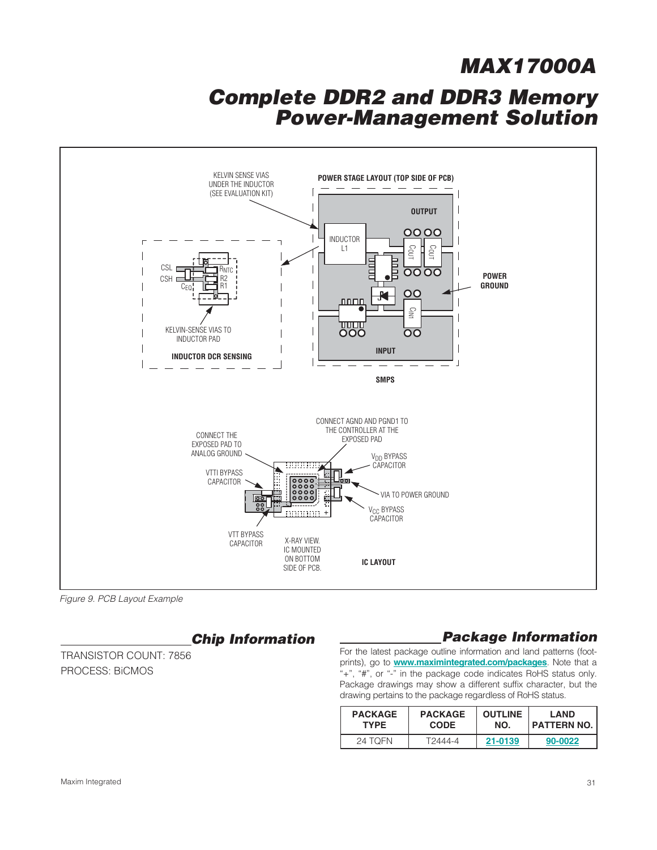### **Complete DDR2 and DDR3 Memory Power-Management Solution**



Figure 9. PCB Layout Example

### **Chip Information**

TRANSISTOR COUNT: 7856 PROCESS: BiCMOS

### **Package Information**

For the latest package outline information and land patterns (footprints), go to **www.maximintegrated.com/packages**. Note that a "+", "#", or "-" in the package code indicates RoHS status only. Package drawings may show a different suffix character, but the drawing pertains to the package regardless of RoHS status.

| <b>PACKAGE</b> | <b>PACKAGE</b> | <b>OUTLINE</b> | <b>LAND</b>   |  |
|----------------|----------------|----------------|---------------|--|
| TYPF.          | <b>CODE</b>    | NO.            | I PATTERN NO. |  |
| 24 TOFN        | T2444-4        | 21-0139        | 90-0022       |  |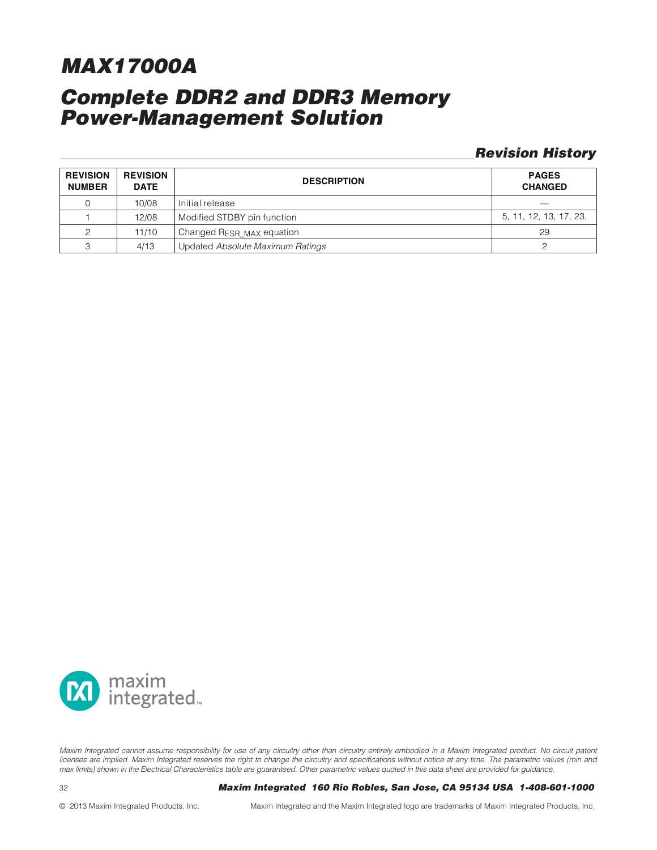### **Complete DDR2 and DDR3 Memory Power-Management Solution**

### **Revision History**

| <b>REVISION</b><br><b>NUMBER</b> | <b>REVISION</b><br><b>DATE</b> | <b>DESCRIPTION</b>               | <b>PAGES</b><br><b>CHANGED</b> |
|----------------------------------|--------------------------------|----------------------------------|--------------------------------|
|                                  | 10/08                          | Initial release                  | $\overline{\phantom{a}}$       |
|                                  | 12/08                          | Modified STDBY pin function      | 5, 11, 12, 13, 17, 23,         |
|                                  | 11/10                          | Changed RESR_MAX equation        | 29                             |
|                                  | 4/13                           | Updated Absolute Maximum Ratings |                                |



Maxim Integrated cannot assume responsibility for use of any circuitry other than circuitry entirely embodied in a Maxim Integrated product. No circuit patent licenses are implied. Maxim Integrated reserves the right to change the circuitry and specifications without notice at any time. The parametric values (min and max limits) shown in the Electrical Characteristics table are guaranteed. Other parametric values quoted in this data sheet are provided for guidance.

32 **\_\_\_\_\_\_\_\_\_\_\_\_\_\_\_\_\_\_\_\_\_\_\_\_\_\_\_\_\_\_\_\_Maxim Integrated 160 Rio Robles, San Jose, CA 95134 USA 1-408-601-1000**

© 2013 Maxim Integrated Products, Inc. Maxim Integrated and the Maxim Integrated logo are trademarks of Maxim Integrated Products, Inc.